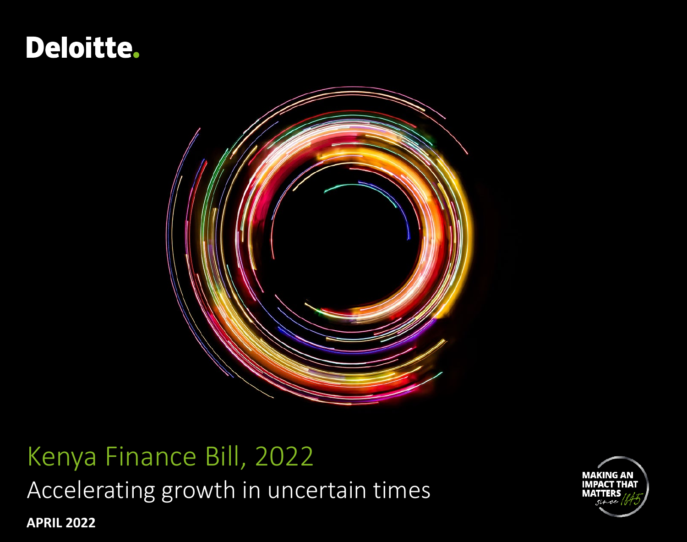# **Deloitte.**



# Kenya Finance Bill, 2022

Accelerating growth in uncertain times

**MAKING AN** IMPACT THAT маттер

**APRIL 2022**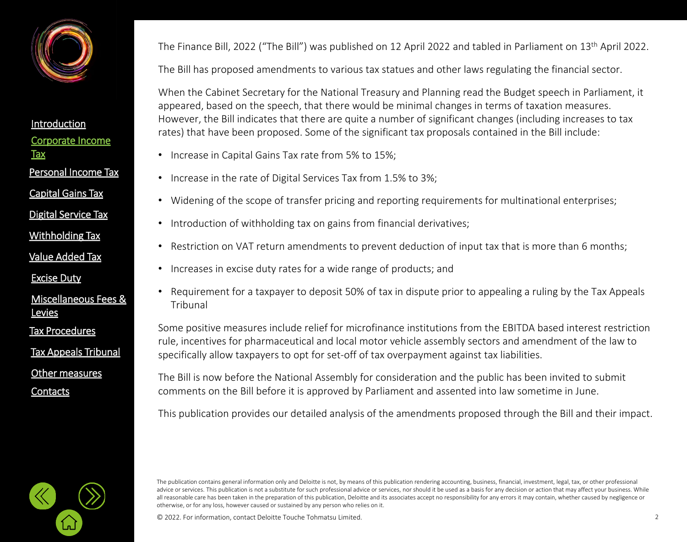<span id="page-1-0"></span>

#### [Corporate Income](#page-2-0)  **Tax** [Introduction](#page-1-0) Personal [Income Tax](#page-21-0) [Capital Gains Tax](#page-21-0)

[Digital Service Tax](#page-21-0)

[Withholding](#page-21-0) Tax

[Value Added Tax](#page-33-0)

[Excise Duty](#page-45-0)

#### [Miscellaneous Fees &](#page-56-0)  **Levies**

[Tax Procedures](#page-61-0)

[Tax Appeals Tribunal](#page-61-0)

[Other measures](#page-72-0)

**[Contacts](#page-75-0)** 

The Finance Bill, 2022 ("The Bill") was published on 12 April 2022 and tabled in Parliament on 13th April 2022.

The Bill has proposed amendments to various tax statues and other laws regulating the financial sector.

When the Cabinet Secretary for the National Treasury and Planning read the Budget speech in Parliament, it appeared, based on the speech, that there would be minimal changes in terms of taxation measures. However, the Bill indicates that there are quite a number of significant changes (including increases to tax rates) that have been proposed. Some of the significant tax proposals contained in the Bill include:

- Increase in Capital Gains Tax rate from 5% to 15%;
- Increase in the rate of Digital Services Tax from 1.5% to 3%;
- Widening of the scope of transfer pricing and reporting requirements for multinational enterprises;
- Introduction of withholding tax on gains from financial derivatives;
- Restriction on VAT return amendments to prevent deduction of input tax that is more than 6 months;
- Increases in excise duty rates for a wide range of products; and
- Requirement for a taxpayer to deposit 50% of tax in dispute prior to appealing a ruling by the Tax Appeals Tribunal

Some positive measures include relief for microfinance institutions from the EBITDA based interest restriction rule, incentives for pharmaceutical and local motor vehicle assembly sectors and amendment of the law to specifically allow taxpayers to opt for set-off of tax overpayment against tax liabilities.

The Bill is now before the National Assembly for consideration and the public has been invited to submit comments on the Bill before it is approved by Parliament and assented into law sometime in June.

This publication provides our detailed analysis of the amendments proposed through the Bill and their impact.



© 2022. For information, contact Deloitte Touche Tohmatsu Limited. 2

The publication contains general information only and Deloitte is not, by means of this publication rendering accounting, business, financial, investment, legal, tax, or other professional advice or services. This publication is not a substitute for such professional advice or services, nor should it be used as a basis for any decision or action that may affect your business. While all reasonable care has been taken in the preparation of this publication, Deloitte and its associates accept no responsibility for any errors it may contain, whether caused by negligence or otherwise, or for any loss, however caused or sustained by any person who relies on it.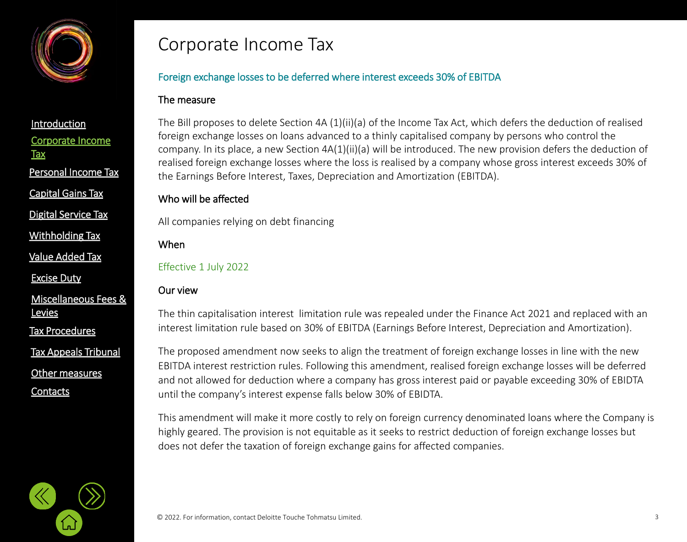<span id="page-2-0"></span>

Personal [Income Tax](#page-21-0)

[Capital Gains Tax](#page-21-0)

[Digital Service Tax](#page-21-0)

[Withholding](#page-21-0) Tax

[Value Added Tax](#page-33-0)

[Excise Duty](#page-45-0)

[Miscellaneous Fees &](#page-56-0)  **Levies** 

[Tax Procedures](#page-61-0)

[Tax Appeals Tribunal](#page-61-0)

[Other measures](#page-72-0)

**[Contacts](#page-75-0)** 

### Corporate Income Tax

#### Foreign exchange losses to be deferred where interest exceeds 30% of EBITDA

#### The measure

The Bill proposes to delete Section 4A (1)(ii)(a) of the Income Tax Act, which defers the deduction of realised foreign exchange losses on loans advanced to a thinly capitalised company by persons who control the company. In its place, a new Section 4A(1)(ii)(a) will be introduced. The new provision defers the deduction of realised foreign exchange losses where the loss is realised by a company whose gross interest exceeds 30% of the Earnings Before Interest, Taxes, Depreciation and Amortization (EBITDA).

#### Who will be affected

All companies relying on debt financing

#### When

Effective 1 July 2022

#### Our view

The thin capitalisation interest limitation rule was repealed under the Finance Act 2021 and replaced with an interest limitation rule based on 30% of EBITDA (Earnings Before Interest, Depreciation and Amortization).

The proposed amendment now seeks to align the treatment of foreign exchange losses in line with the new EBITDA interest restriction rules. Following this amendment, realised foreign exchange losses will be deferred and not allowed for deduction where a company has gross interest paid or payable exceeding 30% of EBIDTA until the company's interest expense falls below 30% of EBIDTA.

This amendment will make it more costly to rely on foreign currency denominated loans where the Company is highly geared. The provision is not equitable as it seeks to restrict deduction of foreign exchange losses but does not defer the taxation of foreign exchange gains for affected companies.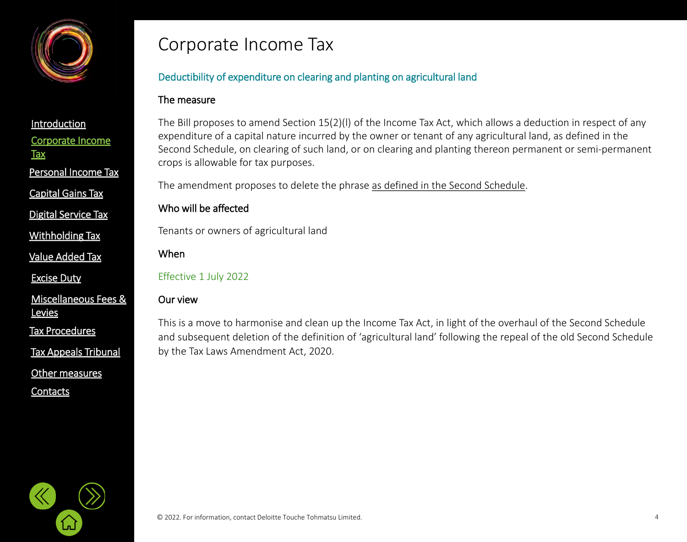

Personal [Income Tax](#page-21-0)

[Capital Gains Tax](#page-21-0)

[Digital Service Tax](#page-21-0)

[Withholding](#page-21-0) Tax

[Value Added Tax](#page-33-0)

[Excise Duty](#page-45-0)

[Miscellaneous Fees &](#page-56-0)  **Levies** 

[Tax Procedures](#page-61-0)

[Tax Appeals Tribunal](#page-61-0)

[Other measures](#page-72-0)

**[Contacts](#page-75-0)** 

### Corporate Income Tax

#### Deductibility of expenditure on clearing and planting on agricultural land

#### The measure

The Bill proposes to amend Section 15(2)(l) of the Income Tax Act, which allows a deduction in respect of any expenditure of a capital nature incurred by the owner or tenant of any agricultural land, as defined in the Second Schedule, on clearing of such land, or on clearing and planting thereon permanent or semi-permanent crops is allowable for tax purposes.

The amendment proposes to delete the phrase as defined in the Second Schedule.

#### Who will be affected

Tenants or owners of agricultural land

When

Effective 1 July 2022

#### Our view

This is a move to harmonise and clean up the Income Tax Act, in light of the overhaul of the Second Schedule and subsequent deletion of the definition of 'agricultural land' following the repeal of the old Second Schedule by the Tax Laws Amendment Act, 2020.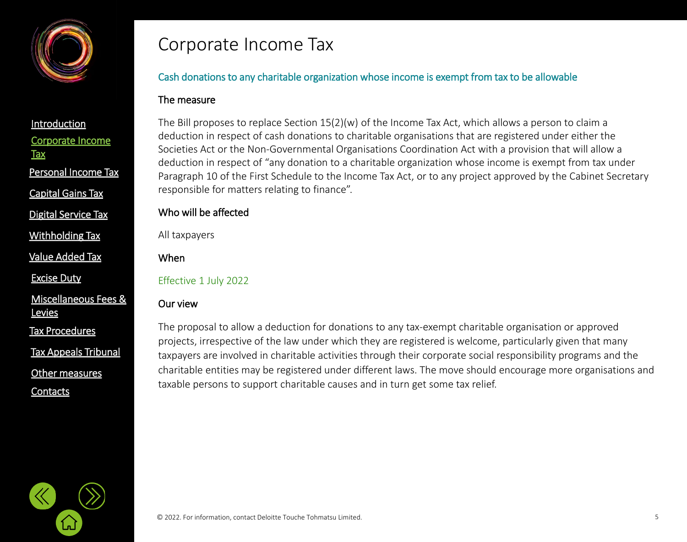

**Tax** 

Personal [Income Tax](#page-21-0)

[Capital Gains Tax](#page-21-0)

[Digital Service Tax](#page-21-0)

[Withholding](#page-21-0) Tax

[Value Added Tax](#page-33-0)

[Excise Duty](#page-45-0)

[Miscellaneous Fees &](#page-56-0)  **Levies** 

[Tax Procedures](#page-61-0)

[Tax Appeals Tribunal](#page-61-0)

[Other measures](#page-72-0)

**[Contacts](#page-75-0)** 

### Corporate Income Tax

#### Cash donations to any charitable organization whose income is exempt from tax to be allowable

#### The measure

The Bill proposes to replace Section 15(2)(w) of the Income Tax Act, which allows a person to claim a deduction in respect of cash donations to charitable organisations that are registered under either the Societies Act or the Non-Governmental Organisations Coordination Act with a provision that will allow a deduction in respect of "any donation to a charitable organization whose income is exempt from tax under Paragraph 10 of the First Schedule to the Income Tax Act, or to any project approved by the Cabinet Secretary responsible for matters relating to finance".

#### Who will be affected

All taxpayers

#### When

Effective 1 July 2022

#### Our view

The proposal to allow a deduction for donations to any tax-exempt charitable organisation or approved projects, irrespective of the law under which they are registered is welcome, particularly given that many taxpayers are involved in charitable activities through their corporate social responsibility programs and the charitable entities may be registered under different laws. The move should encourage more organisations and taxable persons to support charitable causes and in turn get some tax relief.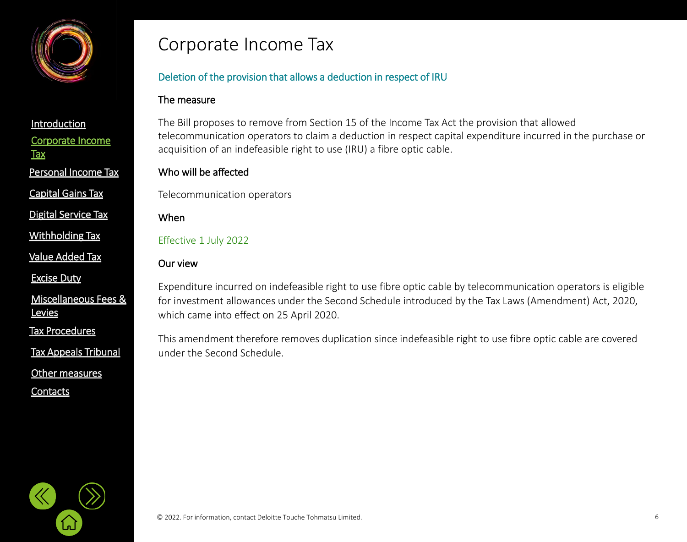

Personal [Income Tax](#page-21-0)

[Capital Gains Tax](#page-21-0)

[Digital Service Tax](#page-21-0)

[Withholding](#page-21-0) Tax

[Value Added Tax](#page-33-0)

[Excise Duty](#page-45-0)

[Miscellaneous Fees &](#page-56-0)  **Levies** 

[Tax Procedures](#page-61-0)

[Tax Appeals Tribunal](#page-61-0)

[Other measures](#page-72-0)

**[Contacts](#page-75-0)** 

### Corporate Income Tax

#### Deletion of the provision that allows a deduction in respect of IRU

#### The measure

The Bill proposes to remove from Section 15 of the Income Tax Act the provision that allowed telecommunication operators to claim a deduction in respect capital expenditure incurred in the purchase or acquisition of an indefeasible right to use (IRU) a fibre optic cable.

#### Who will be affected

Telecommunication operators

When

Effective 1 July 2022

#### Our view

Expenditure incurred on indefeasible right to use fibre optic cable by telecommunication operators is eligible for investment allowances under the Second Schedule introduced by the Tax Laws (Amendment) Act, 2020, which came into effect on 25 April 2020.

This amendment therefore removes duplication since indefeasible right to use fibre optic cable are covered under the Second Schedule.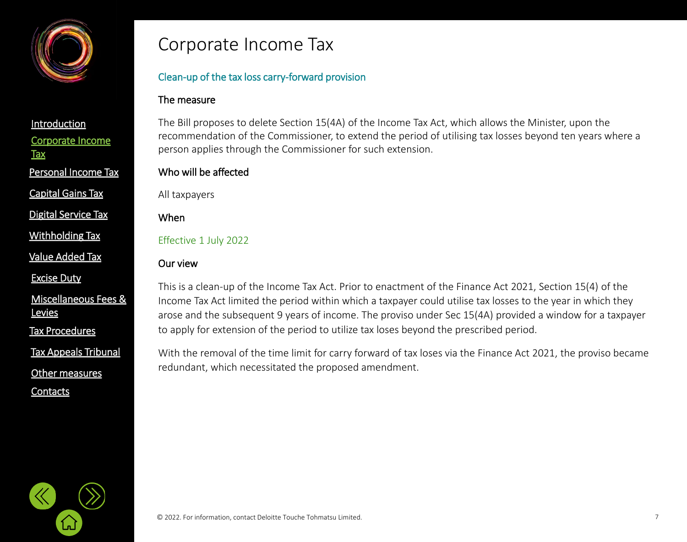

Personal [Income Tax](#page-21-0)

[Capital Gains Tax](#page-21-0)

[Digital Service Tax](#page-21-0)

[Withholding](#page-32-0) Tax

[Value Added Tax](#page-33-0)

[Excise Duty](#page-45-0)

[Miscellaneous Fees &](#page-56-0)  **Levies** 

[Tax Procedures](#page-61-0)

[Tax Appeals Tribunal](#page-61-0)

[Other measures](#page-72-0)

**[Contacts](#page-75-0)** 

### Corporate Income Tax

#### Clean-up of the tax loss carry-forward provision

#### The measure

The Bill proposes to delete Section 15(4A) of the Income Tax Act, which allows the Minister, upon the recommendation of the Commissioner, to extend the period of utilising tax losses beyond ten years where a person applies through the Commissioner for such extension.

#### Who will be affected

All taxpayers

When

Effective 1 July 2022

#### Our view

This is a clean-up of the Income Tax Act. Prior to enactment of the Finance Act 2021, Section 15(4) of the Income Tax Act limited the period within which a taxpayer could utilise tax losses to the year in which they arose and the subsequent 9 years of income. The proviso under Sec 15(4A) provided a window for a taxpayer to apply for extension of the period to utilize tax loses beyond the prescribed period.

With the removal of the time limit for carry forward of tax loses via the Finance Act 2021, the proviso became redundant, which necessitated the proposed amendment.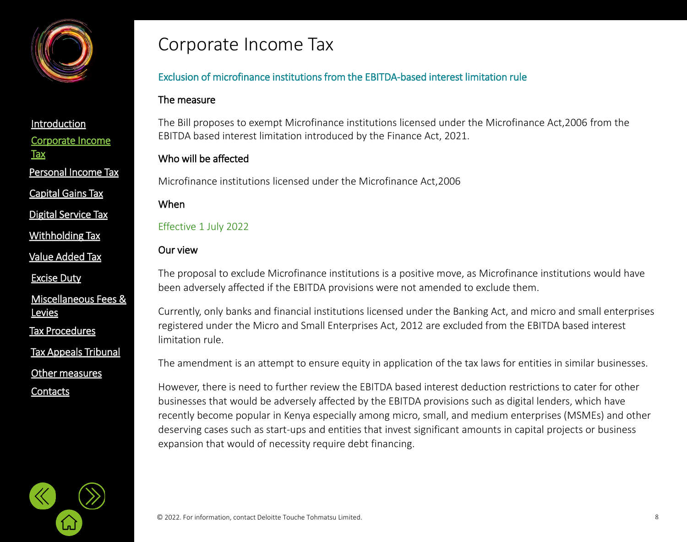

[Capital Gains Tax](#page-21-0)

[Digital Service Tax](#page-21-0)

[Withholding](#page-21-0) Tax

[Value Added Tax](#page-33-0)

[Excise Duty](#page-45-0)

[Miscellaneous Fees &](#page-56-0)  **Levies** 

[Tax Procedures](#page-61-0)

[Tax Appeals Tribunal](#page-61-0)

[Other measures](#page-72-0)

**[Contacts](#page-75-0)** 

### Corporate Income Tax

#### Exclusion of microfinance institutions from the EBITDA-based interest limitation rule

#### The measure

The Bill proposes to exempt Microfinance institutions licensed under the Microfinance Act,2006 from the EBITDA based interest limitation introduced by the Finance Act, 2021.

#### Who will be affected

Microfinance institutions licensed under the Microfinance Act,2006

#### When

Effective 1 July 2022

#### Our view

The proposal to exclude Microfinance institutions is a positive move, as Microfinance institutions would have been adversely affected if the EBITDA provisions were not amended to exclude them.

Currently, only banks and financial institutions licensed under the Banking Act, and micro and small enterprises registered under the Micro and Small Enterprises Act, 2012 are excluded from the EBITDA based interest limitation rule.

The amendment is an attempt to ensure equity in application of the tax laws for entities in similar businesses.

However, there is need to further review the EBITDA based interest deduction restrictions to cater for other businesses that would be adversely affected by the EBITDA provisions such as digital lenders, which have recently become popular in Kenya especially among micro, small, and medium enterprises (MSMEs) and other deserving cases such as start-ups and entities that invest significant amounts in capital projects or business expansion that would of necessity require debt financing.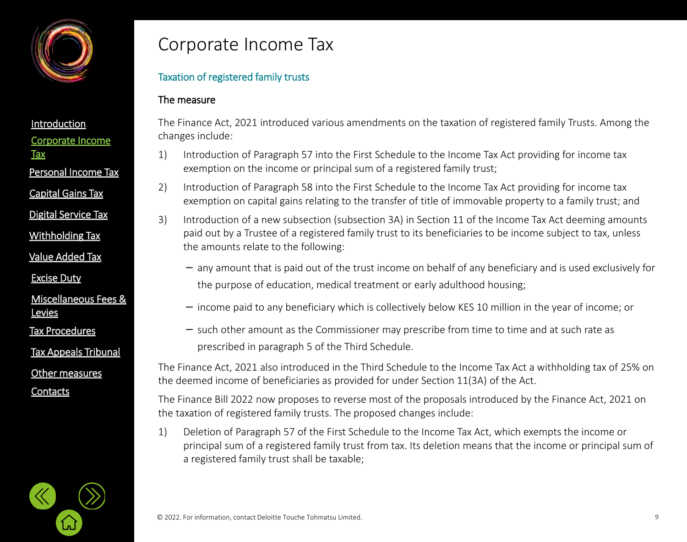

[Capital Gains Tax](#page-21-0)

[Digital Service Tax](#page-21-0)

[Withholding](#page-32-0) Tax

[Value Added Tax](#page-33-0)

[Excise Duty](#page-45-0)

[Miscellaneous Fees &](#page-56-0)  **Levies** 

[Tax Procedures](#page-61-0)

[Tax Appeals Tribunal](#page-61-0)

[Other measures](#page-72-0)

**[Contacts](#page-75-0)** 

### Corporate Income Tax

#### Taxation of registered family trusts

#### The measure

The Finance Act, 2021 introduced various amendments on the taxation of registered family Trusts. Among the changes include:

- 1) Introduction of Paragraph 57 into the First Schedule to the Income Tax Act providing for income tax exemption on the income or principal sum of a registered family trust;
- 2) Introduction of Paragraph 58 into the First Schedule to the Income Tax Act providing for income tax exemption on capital gains relating to the transfer of title of immovable property to a family trust; and
- 3) Introduction of a new subsection (subsection 3A) in Section 11 of the Income Tax Act deeming amounts paid out by a Trustee of a registered family trust to its beneficiaries to be income subject to tax, unless the amounts relate to the following:
	- − any amount that is paid out of the trust income on behalf of any beneficiary and is used exclusively for the purpose of education, medical treatment or early adulthood housing;
	- − income paid to any beneficiary which is collectively below KES 10 million in the year of income; or
	- − such other amount as the Commissioner may prescribe from time to time and at such rate as prescribed in paragraph 5 of the Third Schedule.

The Finance Act, 2021 also introduced in the Third Schedule to the Income Tax Act a withholding tax of 25% on the deemed income of beneficiaries as provided for under Section 11(3A) of the Act.

The Finance Bill 2022 now proposes to reverse most of the proposals introduced by the Finance Act, 2021 on the taxation of registered family trusts. The proposed changes include:

1) Deletion of Paragraph 57 of the First Schedule to the Income Tax Act, which exempts the income or principal sum of a registered family trust from tax. Its deletion means that the income or principal sum of a registered family trust shall be taxable;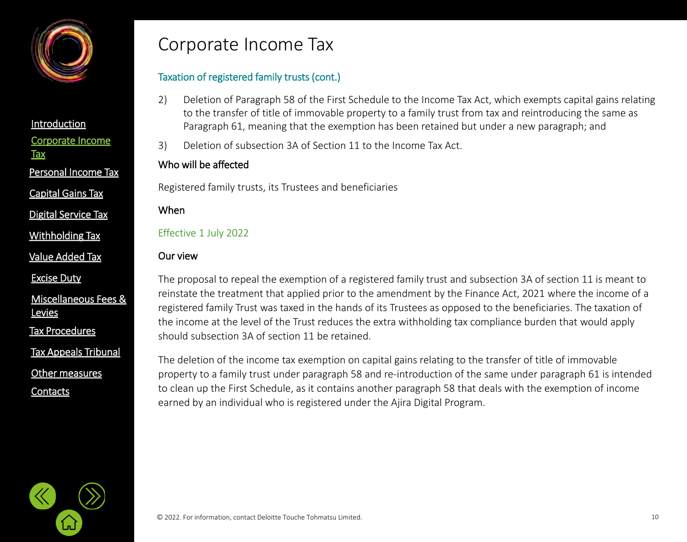

[Capital Gains Tax](#page-21-0)

[Digital Service Tax](#page-21-0)

[Withholding](#page-32-0) Tax

[Value Added Tax](#page-33-0)

[Excise Duty](#page-45-0)

[Miscellaneous Fees &](#page-56-0)  **Levies** 

[Tax Procedures](#page-61-0)

[Tax Appeals Tribunal](#page-61-0)

[Other measures](#page-72-0)

**[Contacts](#page-75-0)** 

### Corporate Income Tax

#### Taxation of registered family trusts (cont.)

- 2) Deletion of Paragraph 58 of the First Schedule to the Income Tax Act, which exempts capital gains relating to the transfer of title of immovable property to a family trust from tax and reintroducing the same as Paragraph 61, meaning that the exemption has been retained but under a new paragraph; and
- 3) Deletion of subsection 3A of Section 11 to the Income Tax Act.

#### Who will be affected

Registered family trusts, its Trustees and beneficiaries

#### When

Effective 1 July 2022

#### Our view

The proposal to repeal the exemption of a registered family trust and subsection 3A of section 11 is meant to reinstate the treatment that applied prior to the amendment by the Finance Act, 2021 where the income of a registered family Trust was taxed in the hands of its Trustees as opposed to the beneficiaries. The taxation of the income at the level of the Trust reduces the extra withholding tax compliance burden that would apply should subsection 3A of section 11 be retained.

The deletion of the income tax exemption on capital gains relating to the transfer of title of immovable property to a family trust under paragraph 58 and re-introduction of the same under paragraph 61 is intended to clean up the First Schedule, as it contains another paragraph 58 that deals with the exemption of income earned by an individual who is registered under the Ajira Digital Program.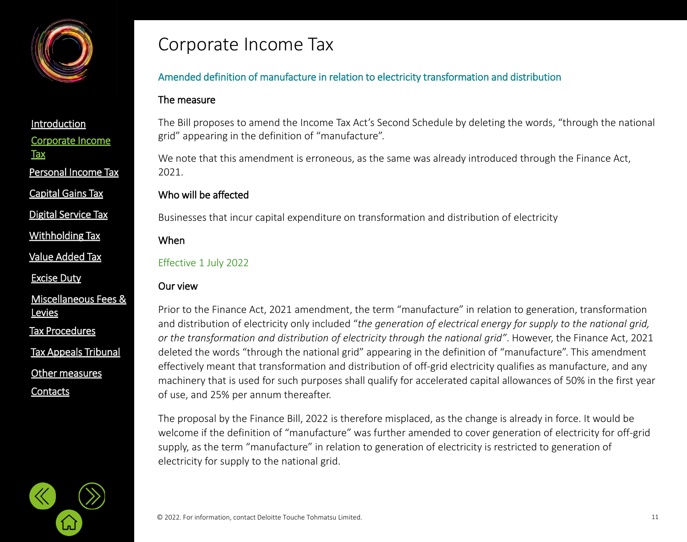

[Capital Gains Tax](#page-21-0)

[Digital Service Tax](#page-21-0)

[Withholding](#page-21-0) Tax

[Value Added Tax](#page-33-0)

[Excise Duty](#page-45-0)

[Miscellaneous Fees &](#page-56-0)  **Levies** 

[Tax Procedures](#page-61-0)

[Tax Appeals Tribunal](#page-61-0)

[Other measures](#page-72-0)

**[Contacts](#page-75-0)** 

### Corporate Income Tax

#### Amended definition of manufacture in relation to electricity transformation and distribution

#### The measure

The Bill proposes to amend the Income Tax Act's Second Schedule by deleting the words, "through the national grid" appearing in the definition of "manufacture".

We note that this amendment is erroneous, as the same was already introduced through the Finance Act, 2021.

#### Who will be affected

Businesses that incur capital expenditure on transformation and distribution of electricity

When

#### Effective 1 July 2022

#### Our view

Prior to the Finance Act, 2021 amendment, the term "manufacture" in relation to generation, transformation and distribution of electricity only included "*the generation of electrical energy for supply to the national grid, or the transformation and distribution of electricity through the national grid"*. However, the Finance Act, 2021 deleted the words "through the national grid" appearing in the definition of "manufacture". This amendment effectively meant that transformation and distribution of off-grid electricity qualifies as manufacture, and any machinery that is used for such purposes shall qualify for accelerated capital allowances of 50% in the first year of use, and 25% per annum thereafter.

The proposal by the Finance Bill, 2022 is therefore misplaced, as the change is already in force. It would be welcome if the definition of "manufacture" was further amended to cover generation of electricity for off-grid supply, as the term "manufacture" in relation to generation of electricity is restricted to generation of electricity for supply to the national grid.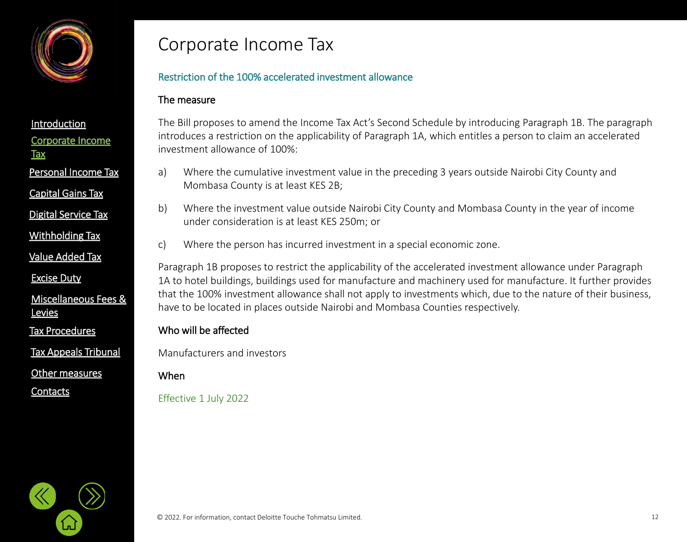

#### [Introduction](#page-1-0)

|--|

- **Tax**
- Personal [Income Tax](#page-21-0)
- [Capital Gains Tax](#page-21-0)
- [Digital Service Tax](#page-21-0)
- [Withholding](#page-21-0) Tax
- [Value Added Tax](#page-33-0)
- [Excise Duty](#page-45-0)
- [Miscellaneous Fees &](#page-56-0)  **Levies**
- [Tax Procedures](#page-61-0)
- [Tax Appeals Tribunal](#page-61-0)
- [Other measures](#page-72-0)
- **[Contacts](#page-75-0)**

### Corporate Income Tax

#### Restriction of the 100% accelerated investment allowance

#### The measure

The Bill proposes to amend the Income Tax Act's Second Schedule by introducing Paragraph 1B. The paragraph introduces a restriction on the applicability of Paragraph 1A, which entitles a person to claim an accelerated investment allowance of 100%:

- a) Where the cumulative investment value in the preceding 3 years outside Nairobi City County and Mombasa County is at least KES 2B;
- b) Where the investment value outside Nairobi City County and Mombasa County in the year of income under consideration is at least KES 250m; or
- c) Where the person has incurred investment in a special economic zone.

Paragraph 1B proposes to restrict the applicability of the accelerated investment allowance under Paragraph 1A to hotel buildings, buildings used for manufacture and machinery used for manufacture. It further provides that the 100% investment allowance shall not apply to investments which, due to the nature of their business, have to be located in places outside Nairobi and Mombasa Counties respectively.

#### Who will be affected

Manufacturers and investors

#### When

Effective 1 July 2022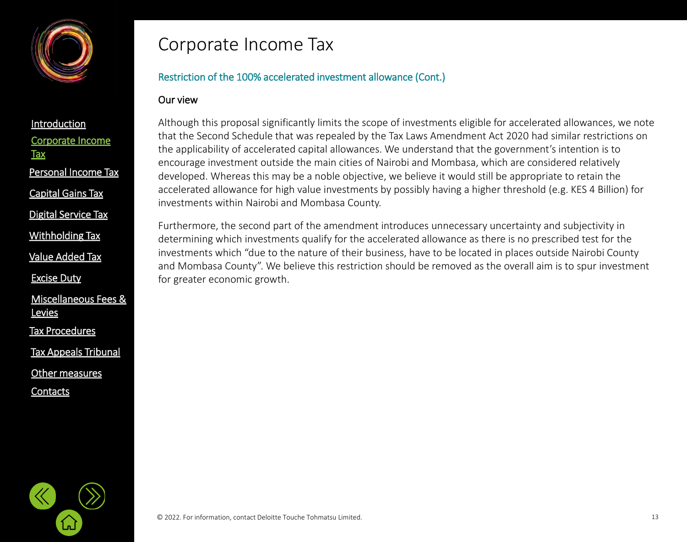

[Corporate Income](#page-2-0) 

Personal [Income Tax](#page-21-0)

[Value Added Tax](#page-33-0)

[Withholding](#page-21-0) Tax

[Digital Service Tax](#page-21-0)

[Capital Gains Tax](#page-21-0)

[Miscellaneous Fees &](#page-56-0) 

[Excise Duty](#page-45-0)

**Levies** 

[Tax Procedures](#page-61-0)

[Other measures](#page-72-0)

[Tax Appeals Tribunal](#page-61-0)

**[Contacts](#page-75-0)** 

**[Introduction](#page-1-0)** 

**Tax** 

### Corporate Income Tax

#### Restriction of the 100% accelerated investment allowance (Cont.)

#### Our view

Although this proposal significantly limits the scope of investments eligible for accelerated allowances, we note that the Second Schedule that was repealed by the Tax Laws Amendment Act 2020 had similar restrictions on the applicability of accelerated capital allowances. We understand that the government's intention is to encourage investment outside the main cities of Nairobi and Mombasa, which are considered relatively developed. Whereas this may be a noble objective, we believe it would still be appropriate to retain the accelerated allowance for high value investments by possibly having a higher threshold (e.g. KES 4 Billion) for investments within Nairobi and Mombasa County.

Furthermore, the second part of the amendment introduces unnecessary uncertainty and subjectivity in determining which investments qualify for the accelerated allowance as there is no prescribed test for the investments which "due to the nature of their business, have to be located in places outside Nairobi County and Mombasa County". We believe this restriction should be removed as the overall aim is to spur investment for greater economic growth.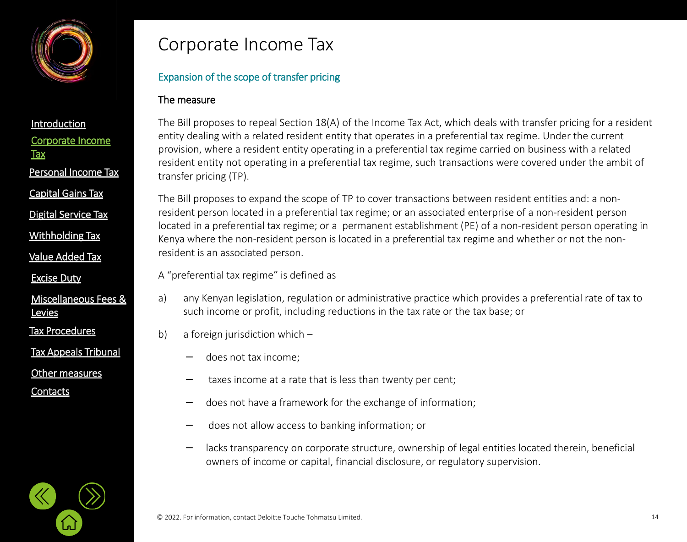

Personal [Income Tax](#page-21-0)

[Capital Gains Tax](#page-21-0)

[Digital Service Tax](#page-21-0)

[Withholding](#page-21-0) Tax

[Value Added Tax](#page-33-0)

[Excise Duty](#page-45-0)

[Miscellaneous Fees &](#page-56-0)  **Levies** 

[Tax Procedures](#page-61-0)

[Tax Appeals Tribunal](#page-61-0)

[Other measures](#page-72-0)

**[Contacts](#page-75-0)** 

### Corporate Income Tax

#### Expansion of the scope of transfer pricing

#### The measure

The Bill proposes to repeal Section 18(A) of the Income Tax Act, which deals with transfer pricing for a resident entity dealing with a related resident entity that operates in a preferential tax regime. Under the current provision, where a resident entity operating in a preferential tax regime carried on business with a related resident entity not operating in a preferential tax regime, such transactions were covered under the ambit of transfer pricing (TP).

The Bill proposes to expand the scope of TP to cover transactions between resident entities and: a nonresident person located in a preferential tax regime; or an associated enterprise of a non-resident person located in a preferential tax regime; or a permanent establishment (PE) of a non-resident person operating in Kenya where the non-resident person is located in a preferential tax regime and whether or not the nonresident is an associated person.

A "preferential tax regime" is defined as

- a) any Kenyan legislation, regulation or administrative practice which provides a preferential rate of tax to such income or profit, including reductions in the tax rate or the tax base; or
- b) a foreign jurisdiction which
	- does not tax income;
	- taxes income at a rate that is less than twenty per cent;
	- − does not have a framework for the exchange of information;
	- − does not allow access to banking information; or
	- − lacks transparency on corporate structure, ownership of legal entities located therein, beneficial owners of income or capital, financial disclosure, or regulatory supervision.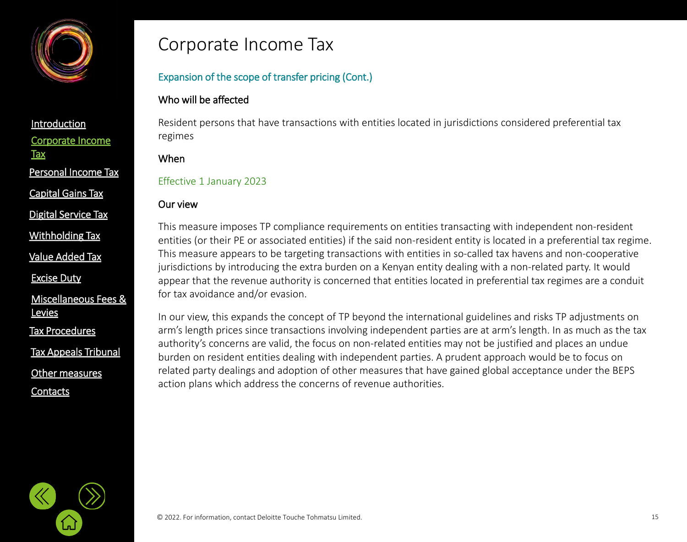

Personal [Income Tax](#page-21-0)

[Capital Gains Tax](#page-21-0)

[Digital Service Tax](#page-21-0)

[Withholding](#page-21-0) Tax

[Value Added Tax](#page-33-0)

[Excise Duty](#page-45-0)

#### [Miscellaneous Fees &](#page-56-0)  **Levies**

[Tax Procedures](#page-61-0)

[Tax Appeals Tribunal](#page-61-0)

[Other measures](#page-72-0)

**[Contacts](#page-75-0)** 

### Corporate Income Tax

#### Expansion of the scope of transfer pricing (Cont.)

#### Who will be affected

Resident persons that have transactions with entities located in jurisdictions considered preferential tax regimes

#### When

#### Effective 1 January 2023

#### Our view

This measure imposes TP compliance requirements on entities transacting with independent non-resident entities (or their PE or associated entities) if the said non-resident entity is located in a preferential tax regime. This measure appears to be targeting transactions with entities in so-called tax havens and non-cooperative jurisdictions by introducing the extra burden on a Kenyan entity dealing with a non-related party. It would appear that the revenue authority is concerned that entities located in preferential tax regimes are a conduit for tax avoidance and/or evasion.

In our view, this expands the concept of TP beyond the international guidelines and risks TP adjustments on arm's length prices since transactions involving independent parties are at arm's length. In as much as the tax authority's concerns are valid, the focus on non-related entities may not be justified and places an undue burden on resident entities dealing with independent parties. A prudent approach would be to focus on related party dealings and adoption of other measures that have gained global acceptance under the BEPS action plans which address the concerns of revenue authorities.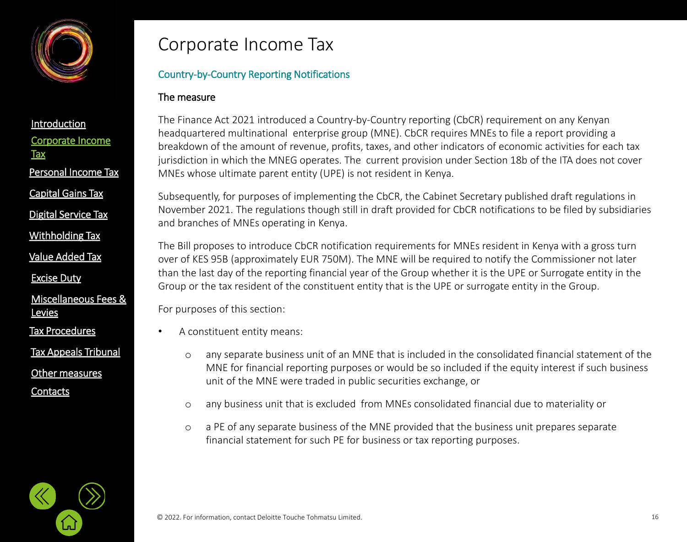

- [Capital Gains Tax](#page-21-0)
- [Digital Service Tax](#page-21-0)
- [Withholding](#page-21-0) Tax
- [Value Added Tax](#page-33-0)
- [Excise Duty](#page-45-0)
- [Miscellaneous Fees &](#page-56-0)  **Levies**
- [Tax Procedures](#page-61-0)
- [Tax Appeals Tribunal](#page-61-0)
- [Other measures](#page-72-0)
- **[Contacts](#page-75-0)**

### Corporate Income Tax

#### Country-by-Country Reporting Notifications

#### The measure

The Finance Act 2021 introduced a Country-by-Country reporting (CbCR) requirement on any Kenyan headquartered multinational enterprise group (MNE). CbCR requires MNEs to file a report providing a breakdown of the amount of revenue, profits, taxes, and other indicators of economic activities for each tax jurisdiction in which the MNEG operates. The current provision under Section 18b of the ITA does not cover MNEs whose ultimate parent entity (UPE) is not resident in Kenya.

Subsequently, for purposes of implementing the CbCR, the Cabinet Secretary published draft regulations in November 2021. The regulations though still in draft provided for CbCR notifications to be filed by subsidiaries and branches of MNEs operating in Kenya.

The Bill proposes to introduce CbCR notification requirements for MNEs resident in Kenya with a gross turn over of KES 95B (approximately EUR 750M). The MNE will be required to notify the Commissioner not later than the last day of the reporting financial year of the Group whether it is the UPE or Surrogate entity in the Group or the tax resident of the constituent entity that is the UPE or surrogate entity in the Group.

For purposes of this section:

- A constituent entity means:
	- o any separate business unit of an MNE that is included in the consolidated financial statement of the MNE for financial reporting purposes or would be so included if the equity interest if such business unit of the MNE were traded in public securities exchange, or
	- o any business unit that is excluded from MNEs consolidated financial due to materiality or
	- o a PE of any separate business of the MNE provided that the business unit prepares separate financial statement for such PE for business or tax reporting purposes.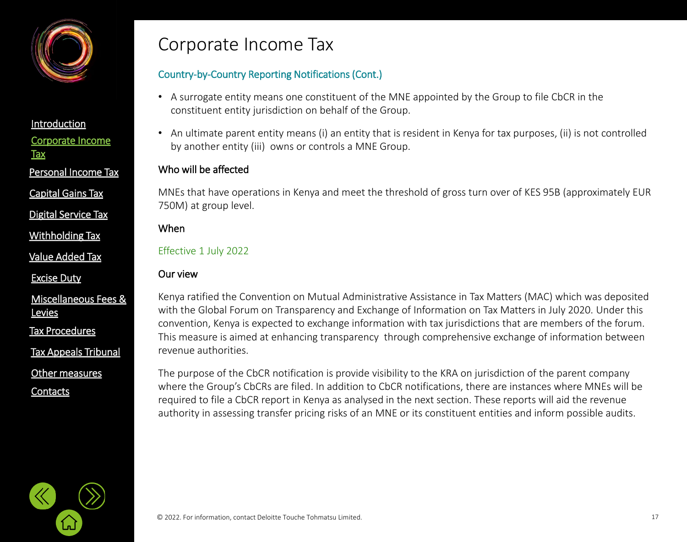

Personal [Income Tax](#page-21-0)

[Capital Gains Tax](#page-21-0)

[Digital Service Tax](#page-21-0)

[Withholding](#page-21-0) Tax

[Value Added Tax](#page-33-0)

[Excise Duty](#page-45-0)

[Miscellaneous Fees &](#page-56-0)  **Levies** 

[Tax Procedures](#page-61-0)

[Tax Appeals Tribunal](#page-61-0)

[Other measures](#page-72-0)

**[Contacts](#page-75-0)** 

### Corporate Income Tax

#### Country-by-Country Reporting Notifications (Cont.)

- A surrogate entity means one constituent of the MNE appointed by the Group to file CbCR in the constituent entity jurisdiction on behalf of the Group.
- An ultimate parent entity means (i) an entity that is resident in Kenya for tax purposes, (ii) is not controlled by another entity (iii) owns or controls a MNE Group.

#### Who will be affected

MNEs that have operations in Kenya and meet the threshold of gross turn over of KES 95B (approximately EUR 750M) at group level.

#### When

#### Effective 1 July 2022

#### Our view

Kenya ratified the Convention on Mutual Administrative Assistance in Tax Matters (MAC) which was deposited with the Global Forum on Transparency and Exchange of Information on Tax Matters in July 2020. Under this convention, Kenya is expected to exchange information with tax jurisdictions that are members of the forum. This measure is aimed at enhancing transparency through comprehensive exchange of information between revenue authorities.

The purpose of the CbCR notification is provide visibility to the KRA on jurisdiction of the parent company where the Group's CbCRs are filed. In addition to CbCR notifications, there are instances where MNEs will be required to file a CbCR report in Kenya as analysed in the next section. These reports will aid the revenue authority in assessing transfer pricing risks of an MNE or its constituent entities and inform possible audits.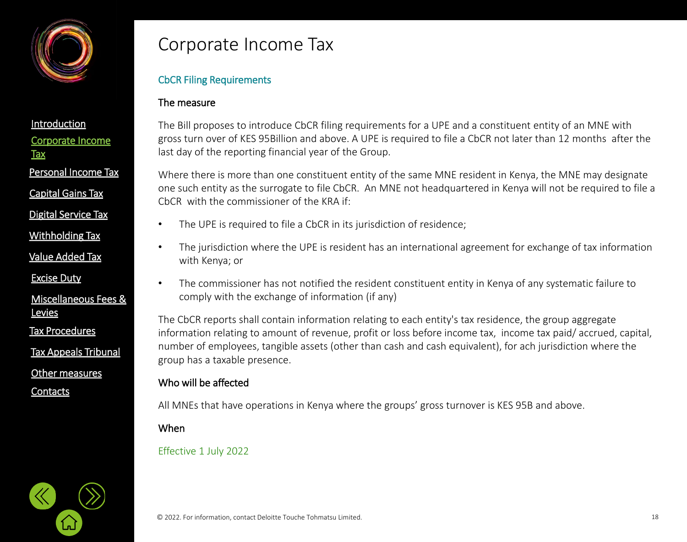

[Capital Gains Tax](#page-21-0)

- [Digital Service Tax](#page-21-0)
- [Withholding](#page-32-0) Tax
- [Value Added Tax](#page-33-0)
- [Excise Duty](#page-45-0)

#### [Miscellaneous Fees &](#page-56-0)  **Levies**

[Tax Procedures](#page-61-0)

[Tax Appeals Tribunal](#page-61-0)

[Other measures](#page-72-0)

**[Contacts](#page-75-0)** 

### Corporate Income Tax

#### CbCR Filing Requirements

#### The measure

The Bill proposes to introduce CbCR filing requirements for a UPE and a constituent entity of an MNE with gross turn over of KES 95Billion and above. A UPE is required to file a CbCR not later than 12 months after the last day of the reporting financial year of the Group.

Where there is more than one constituent entity of the same MNE resident in Kenya, the MNE may designate one such entity as the surrogate to file CbCR. An MNE not headquartered in Kenya will not be required to file a CbCR with the commissioner of the KRA if:

- The UPE is required to file a CbCR in its jurisdiction of residence;
- The jurisdiction where the UPE is resident has an international agreement for exchange of tax information with Kenya; or
- The commissioner has not notified the resident constituent entity in Kenya of any systematic failure to comply with the exchange of information (if any)

The CbCR reports shall contain information relating to each entity's tax residence, the group aggregate information relating to amount of revenue, profit or loss before income tax, income tax paid/ accrued, capital, number of employees, tangible assets (other than cash and cash equivalent), for ach jurisdiction where the group has a taxable presence.

#### Who will be affected

All MNEs that have operations in Kenya where the groups' gross turnover is KES 95B and above.

#### When

#### Effective 1 July 2022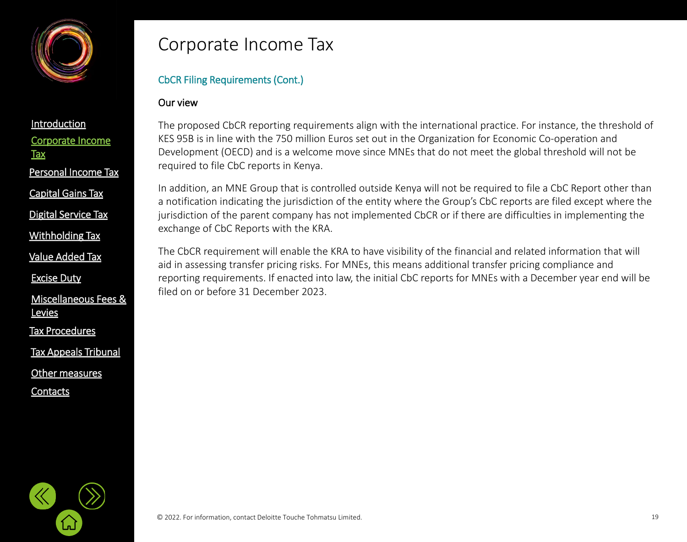

[Capital Gains Tax](#page-21-0)

[Digital Service Tax](#page-21-0)

[Withholding](#page-21-0) Tax

[Value Added Tax](#page-33-0)

[Excise Duty](#page-45-0)

[Miscellaneous Fees &](#page-56-0)  **Levies** 

[Tax Procedures](#page-61-0)

[Tax Appeals Tribunal](#page-61-0)

[Other measures](#page-72-0)

**[Contacts](#page-75-0)** 

### Corporate Income Tax

#### CbCR Filing Requirements (Cont.)

#### Our view

The proposed CbCR reporting requirements align with the international practice. For instance, the threshold of KES 95B is in line with the 750 million Euros set out in the Organization for Economic Co-operation and Development (OECD) and is a welcome move since MNEs that do not meet the global threshold will not be required to file CbC reports in Kenya.

In addition, an MNE Group that is controlled outside Kenya will not be required to file a CbC Report other than a notification indicating the jurisdiction of the entity where the Group's CbC reports are filed except where the jurisdiction of the parent company has not implemented CbCR or if there are difficulties in implementing the exchange of CbC Reports with the KRA.

The CbCR requirement will enable the KRA to have visibility of the financial and related information that will aid in assessing transfer pricing risks. For MNEs, this means additional transfer pricing compliance and reporting requirements. If enacted into law, the initial CbC reports for MNEs with a December year end will be filed on or before 31 December 2023.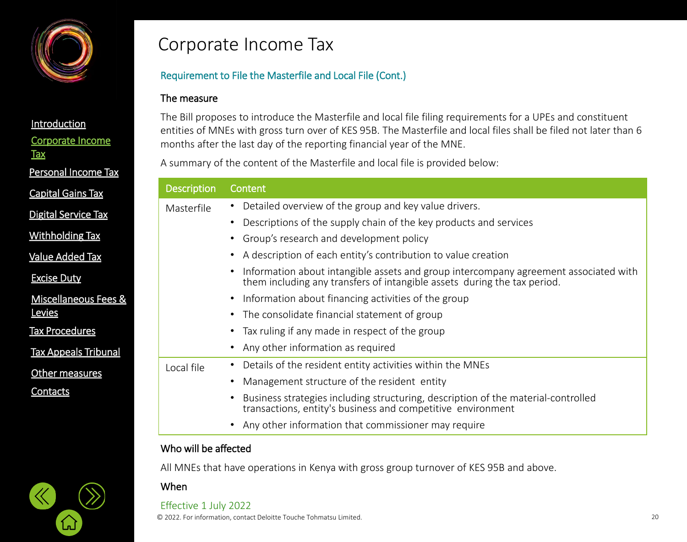

#### **[Introduction](#page-1-0)**

[Corporate Income](#page-2-0) 

**Tax** 

Personal [Income Tax](#page-21-0)

[Capital Gains Tax](#page-21-0)

[Digital Service Tax](#page-21-0)

[Withholding](#page-21-0) Tax

[Value Added Tax](#page-33-0)

[Excise Duty](#page-45-0)

[Miscellaneous Fees &](#page-56-0)  **Levies** 

[Tax Procedures](#page-61-0)

[Tax Appeals Tribunal](#page-61-0)

[Other measures](#page-72-0)

**[Contacts](#page-75-0)** 

### Corporate Income Tax

#### Requirement to File the Masterfile and Local File (Cont.)

#### The measure

The Bill proposes to introduce the Masterfile and local file filing requirements for a UPEs and constituent entities of MNEs with gross turn over of KES 95B. The Masterfile and local files shall be filed not later than 6 months after the last day of the reporting financial year of the MNE.

A summary of the content of the Masterfile and local file is provided below:

| <b>Description</b> | Content                                                                                                                                                          |
|--------------------|------------------------------------------------------------------------------------------------------------------------------------------------------------------|
| Masterfile         | Detailed overview of the group and key value drivers.                                                                                                            |
|                    | Descriptions of the supply chain of the key products and services                                                                                                |
|                    | Group's research and development policy                                                                                                                          |
|                    | A description of each entity's contribution to value creation                                                                                                    |
|                    | Information about intangible assets and group intercompany agreement associated with<br>them including any transfers of intangible assets during the tax period. |
|                    | • Information about financing activities of the group                                                                                                            |
|                    | The consolidate financial statement of group                                                                                                                     |
|                    | Tax ruling if any made in respect of the group                                                                                                                   |
|                    | • Any other information as required                                                                                                                              |
| Local file         | Details of the resident entity activities within the MNEs                                                                                                        |
|                    | Management structure of the resident entity                                                                                                                      |
|                    | Business strategies including structuring, description of the material-controlled<br>transactions, entity's business and competitive environment                 |
|                    | Any other information that commissioner may require                                                                                                              |

#### Who will be affected

All MNEs that have operations in Kenya with gross group turnover of KES 95B and above.

#### When

Effective 1 July 2022

© 2022. For information, contact Deloitte Touche Tohmatsu Limited. 20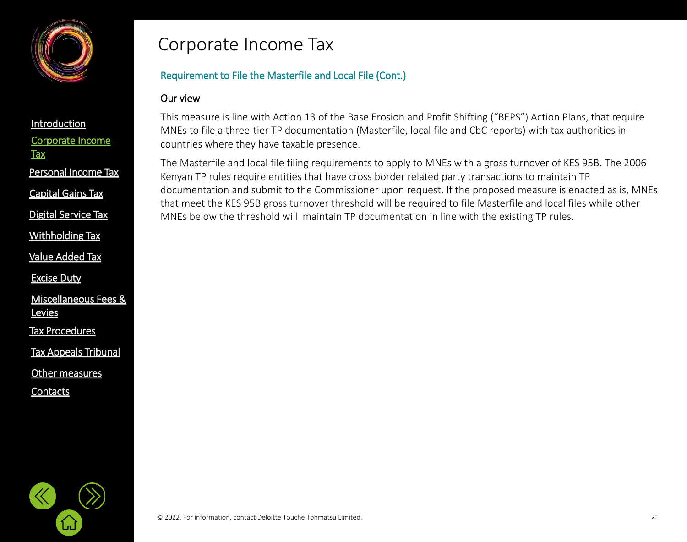

Personal [Income Tax](#page-21-0)

[Capital Gains Tax](#page-21-0)

[Digital Service Tax](#page-21-0)

[Withholding](#page-21-0) Tax

[Value Added Tax](#page-33-0)

[Excise Duty](#page-45-0)

[Miscellaneous Fees &](#page-56-0)  **Levies** 

[Tax Procedures](#page-61-0)

[Tax Appeals Tribunal](#page-61-0)

[Other measures](#page-72-0)

**[Contacts](#page-75-0)** 

### Corporate Income Tax

#### Requirement to File the Masterfile and Local File (Cont.)

#### Our view

This measure is line with Action 13 of the Base Erosion and Profit Shifting ("BEPS") Action Plans, that require MNEs to file a three-tier TP documentation (Masterfile, local file and CbC reports) with tax authorities in countries where they have taxable presence.

The Masterfile and local file filing requirements to apply to MNEs with a gross turnover of KES 95B. The 2006 Kenyan TP rules require entities that have cross border related party transactions to maintain TP documentation and submit to the Commissioner upon request. If the proposed measure is enacted as is, MNEs that meet the KES 95B gross turnover threshold will be required to file Masterfile and local files while other MNEs below the threshold will maintain TP documentation in line with the existing TP rules.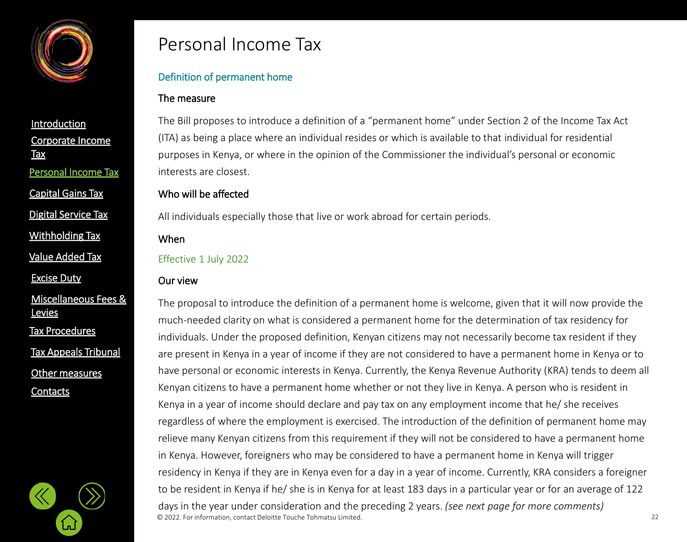<span id="page-21-0"></span>

[Corporate Income](#page-2-0)  **Tax [Introduction](#page-1-0)** Personal [Income Tax](#page-21-0) [Capital Gains Tax](#page-21-0)

[Digital Service Tax](#page-21-0)

[Withholding](#page-21-0) Tax

[Value Added Tax](#page-33-0)

[Excise Duty](#page-45-0)

[Miscellaneous Fees &](#page-56-0)  **Levies** 

[Tax Procedures](#page-61-0)

[Tax Appeals Tribunal](#page-61-0)

[Other measures](#page-72-0)

**[Contacts](#page-75-0)** 

### Personal Income Tax

#### Definition of permanent home

#### The measure

The Bill proposes to introduce a definition of a "permanent home" under Section 2 of the Income Tax Act (ITA) as being a place where an individual resides or which is available to that individual for residential purposes in Kenya, or where in the opinion of the Commissioner the individual's personal or economic interests are closest.

#### Who will be affected

All individuals especially those that live or work abroad for certain periods.

When

#### Effective 1 July 2022

#### Our view

© 2022. For information, contact Deloitte Touche Tohmatsu Limited. 22 The proposal to introduce the definition of a permanent home is welcome, given that it will now provide the much-needed clarity on what is considered a permanent home for the determination of tax residency for individuals. Under the proposed definition, Kenyan citizens may not necessarily become tax resident if they are present in Kenya in a year of income if they are not considered to have a permanent home in Kenya or to have personal or economic interests in Kenya. Currently, the Kenya Revenue Authority (KRA) tends to deem all Kenyan citizens to have a permanent home whether or not they live in Kenya. A person who is resident in Kenya in a year of income should declare and pay tax on any employment income that he/ she receives regardless of where the employment is exercised. The introduction of the definition of permanent home may relieve many Kenyan citizens from this requirement if they will not be considered to have a permanent home in Kenya. However, foreigners who may be considered to have a permanent home in Kenya will trigger residency in Kenya if they are in Kenya even for a day in a year of income. Currently, KRA considers a foreigner to be resident in Kenya if he/ she is in Kenya for at least 183 days in a particular year or for an average of 122 days in the year under consideration and the preceding 2 years. *(see next page for more comments)*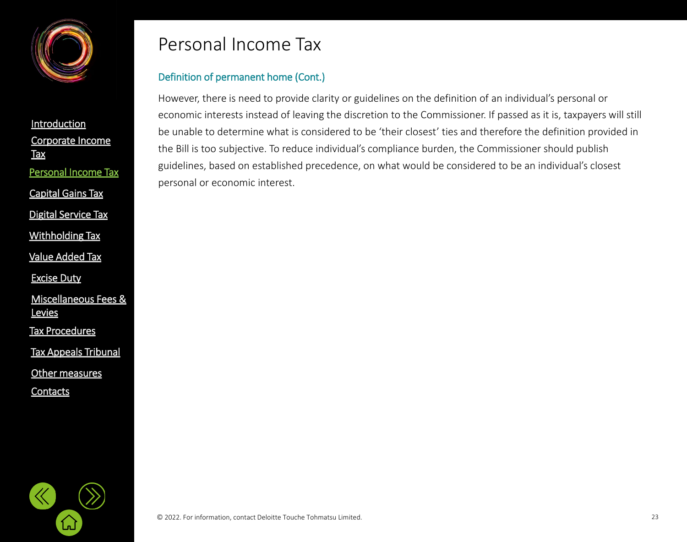

[Corporate Income](#page-2-0)  **Tax [Introduction](#page-1-0)** [Value Added Tax](#page-33-0) Personal [Income Tax](#page-21-0) [Digital Service Tax](#page-21-0) [Capital Gains Tax](#page-21-0) [Withholding](#page-21-0) Tax

[Excise Duty](#page-45-0)

[Miscellaneous Fees &](#page-56-0)  **Levies** 

[Tax Procedures](#page-61-0)

[Tax Appeals Tribunal](#page-61-0)

[Other measures](#page-72-0)

**[Contacts](#page-75-0)** 

### Personal Income Tax

#### Definition of permanent home (Cont.)

However, there is need to provide clarity or guidelines on the definition of an individual's personal or economic interests instead of leaving the discretion to the Commissioner. If passed as it is, taxpayers will still be unable to determine what is considered to be 'their closest' ties and therefore the definition provided in the Bill is too subjective. To reduce individual's compliance burden, the Commissioner should publish guidelines, based on established precedence, on what would be considered to be an individual's closest personal or economic interest.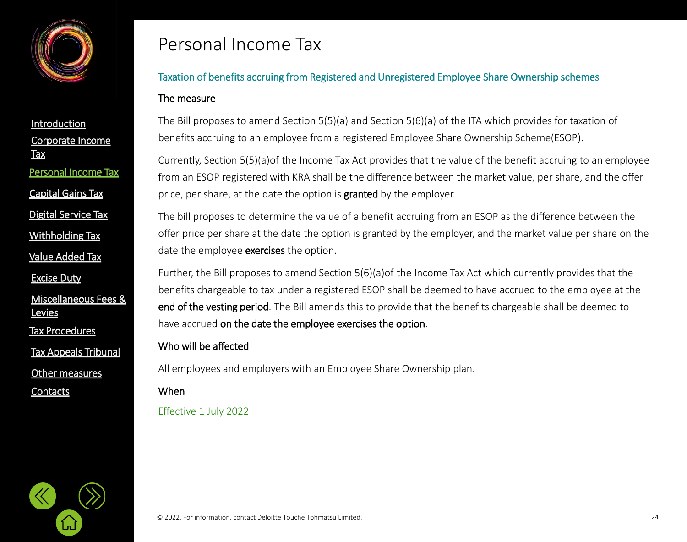

[Corporate Income](#page-2-0)  Tax **[Introduction](#page-1-0)** Personal [Income Tax](#page-21-0) [Digital Service Tax](#page-21-0) [Capital Gains Tax](#page-21-0) [Withholding](#page-21-0) Tax

[Value Added Tax](#page-33-0)

[Excise Duty](#page-45-0)

[Miscellaneous Fees &](#page-56-0)  **Levies** 

[Tax Procedures](#page-61-0)

[Tax Appeals Tribunal](#page-61-0)

[Other measures](#page-72-0)

**[Contacts](#page-75-0)** 

### Personal Income Tax

### Taxation of benefits accruing from Registered and Unregistered Employee Share Ownership schemes

#### The measure

The Bill proposes to amend Section 5(5)(a) and Section 5(6)(a) of the ITA which provides for taxation of benefits accruing to an employee from a registered Employee Share Ownership Scheme(ESOP).

Currently, Section 5(5)(a)of the Income Tax Act provides that the value of the benefit accruing to an employee from an ESOP registered with KRA shall be the difference between the market value, per share, and the offer price, per share, at the date the option is **granted** by the employer.

The bill proposes to determine the value of a benefit accruing from an ESOP as the difference between the offer price per share at the date the option is granted by the employer, and the market value per share on the date the employee **exercises** the option.

Further, the Bill proposes to amend Section 5(6)(a)of the Income Tax Act which currently provides that the benefits chargeable to tax under a registered ESOP shall be deemed to have accrued to the employee at the end of the vesting period. The Bill amends this to provide that the benefits chargeable shall be deemed to have accrued on the date the employee exercises the option.

#### Who will be affected

All employees and employers with an Employee Share Ownership plan.

When

Effective 1 July 2022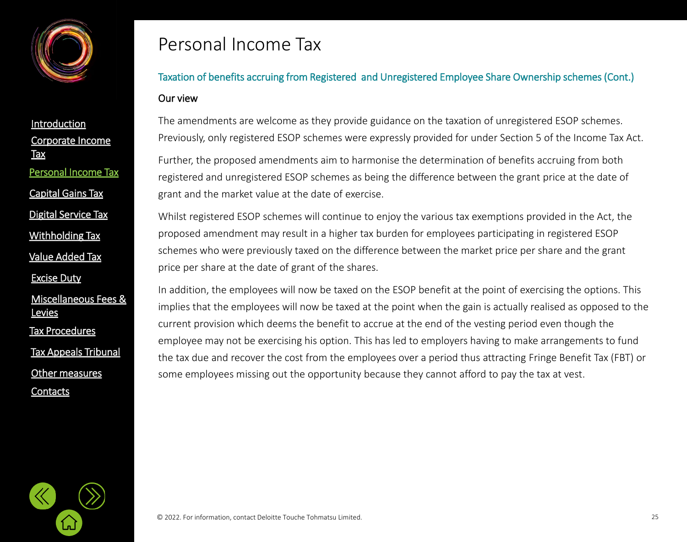

[Corporate Income](#page-2-0)  Tax **[Introduction](#page-1-0)** [Value Added Tax](#page-33-0) Personal [Income Tax](#page-21-0) [Digital Service Tax](#page-21-0) [Capital Gains Tax](#page-21-0) [Withholding](#page-21-0) Tax

[Excise Duty](#page-45-0)

[Miscellaneous Fees &](#page-56-0)  **Levies** 

[Tax Procedures](#page-61-0)

[Tax Appeals Tribunal](#page-61-0)

[Other measures](#page-72-0)

**[Contacts](#page-75-0)** 

### Personal Income Tax

### Taxation of benefits accruing from Registered and Unregistered Employee Share Ownership schemes (Cont.) Our view

The amendments are welcome as they provide guidance on the taxation of unregistered ESOP schemes. Previously, only registered ESOP schemes were expressly provided for under Section 5 of the Income Tax Act.

Further, the proposed amendments aim to harmonise the determination of benefits accruing from both registered and unregistered ESOP schemes as being the difference between the grant price at the date of grant and the market value at the date of exercise.

Whilst registered ESOP schemes will continue to enjoy the various tax exemptions provided in the Act, the proposed amendment may result in a higher tax burden for employees participating in registered ESOP schemes who were previously taxed on the difference between the market price per share and the grant price per share at the date of grant of the shares.

In addition, the employees will now be taxed on the ESOP benefit at the point of exercising the options. This implies that the employees will now be taxed at the point when the gain is actually realised as opposed to the current provision which deems the benefit to accrue at the end of the vesting period even though the employee may not be exercising his option. This has led to employers having to make arrangements to fund the tax due and recover the cost from the employees over a period thus attracting Fringe Benefit Tax (FBT) or some employees missing out the opportunity because they cannot afford to pay the tax at vest.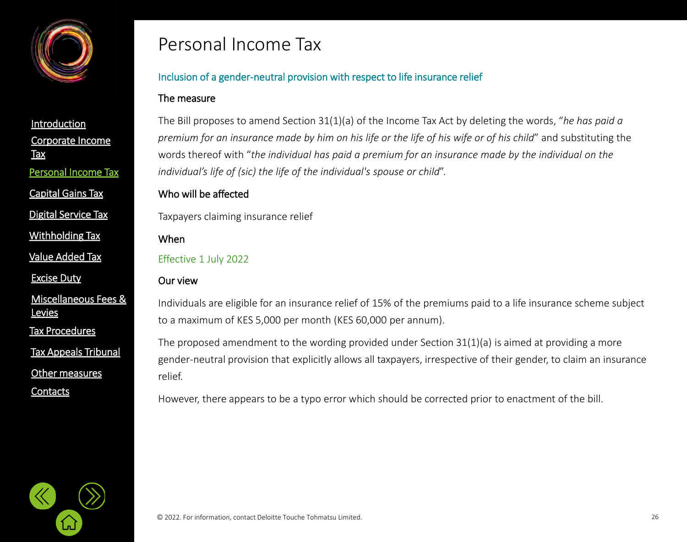

[Capital Gains Tax](#page-21-0)

[Digital Service Tax](#page-21-0)

[Withholding](#page-21-0) Tax

[Value Added Tax](#page-33-0)

[Excise Duty](#page-45-0)

[Miscellaneous Fees &](#page-56-0)  **Levies** 

[Tax Procedures](#page-61-0)

[Tax Appeals Tribunal](#page-61-0)

[Other measures](#page-72-0)

**[Contacts](#page-75-0)** 

### Personal Income Tax

#### Inclusion of a gender-neutral provision with respect to life insurance relief

#### The measure

The Bill proposes to amend Section 31(1)(a) of the Income Tax Act by deleting the words, "*he has paid a premium for an insurance made by him on his life or the life of his wife or of his child*" and substituting the words thereof with "*the individual has paid a premium for an insurance made by the individual on the individual's life of (sic) the life of the individual's spouse or child*".

#### Who will be affected

Taxpayers claiming insurance relief

When

Effective 1 July 2022

#### Our view

Individuals are eligible for an insurance relief of 15% of the premiums paid to a life insurance scheme subject to a maximum of KES 5,000 per month (KES 60,000 per annum).

The proposed amendment to the wording provided under Section 31(1)(a) is aimed at providing a more gender-neutral provision that explicitly allows all taxpayers, irrespective of their gender, to claim an insurance relief.

However, there appears to be a typo error which should be corrected prior to enactment of the bill.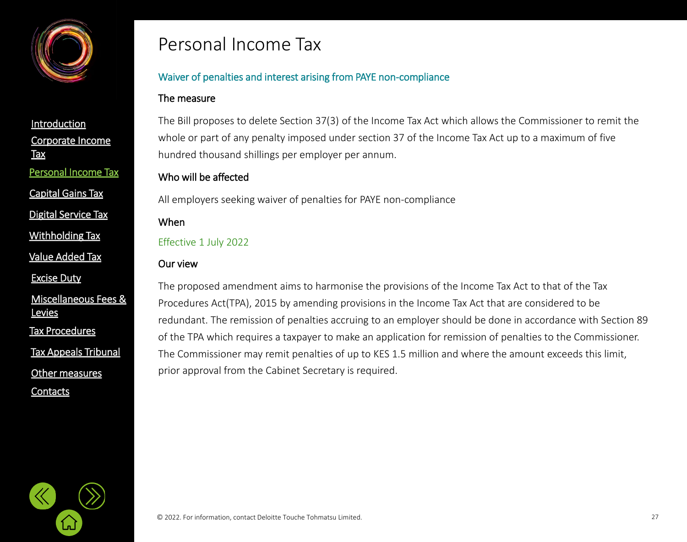

[Corporate Income](#page-2-0)  **Tax [Introduction](#page-1-0)** Personal [Income Tax](#page-21-0) [Capital Gains Tax](#page-21-0)

[Digital Service Tax](#page-21-0)

[Withholding](#page-21-0) Tax

[Value Added Tax](#page-33-0)

[Excise Duty](#page-45-0)

[Miscellaneous Fees &](#page-56-0)  **Levies** 

[Tax Procedures](#page-61-0)

[Tax Appeals Tribunal](#page-61-0)

[Other measures](#page-72-0)

**[Contacts](#page-75-0)** 

### Personal Income Tax

#### Waiver of penalties and interest arising from PAYE non-compliance

#### The measure

The Bill proposes to delete Section 37(3) of the Income Tax Act which allows the Commissioner to remit the whole or part of any penalty imposed under section 37 of the Income Tax Act up to a maximum of five hundred thousand shillings per employer per annum.

#### Who will be affected

All employers seeking waiver of penalties for PAYE non-compliance

#### When

Effective 1 July 2022

#### Our view

The proposed amendment aims to harmonise the provisions of the Income Tax Act to that of the Tax Procedures Act(TPA), 2015 by amending provisions in the Income Tax Act that are considered to be redundant. The remission of penalties accruing to an employer should be done in accordance with Section 89 of the TPA which requires a taxpayer to make an application for remission of penalties to the Commissioner. The Commissioner may remit penalties of up to KES 1.5 million and where the amount exceeds this limit, prior approval from the Cabinet Secretary is required.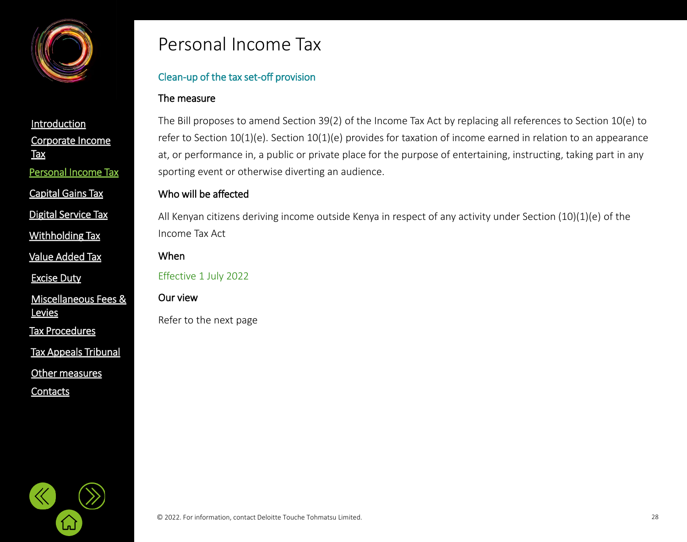

[Capital Gains Tax](#page-21-0)

[Digital Service Tax](#page-21-0)

[Withholding](#page-21-0) Tax

[Value Added Tax](#page-33-0)

[Excise Duty](#page-45-0)

[Miscellaneous Fees &](#page-56-0)  **Levies** 

[Tax Procedures](#page-61-0)

[Tax Appeals Tribunal](#page-61-0)

[Other measures](#page-72-0)

**[Contacts](#page-75-0)** 

### Personal Income Tax

#### Clean-up of the tax set-off provision

#### The measure

The Bill proposes to amend Section 39(2) of the Income Tax Act by replacing all references to Section 10(e) to refer to Section 10(1)(e). Section 10(1)(e) provides for taxation of income earned in relation to an appearance at, or performance in, a public or private place for the purpose of entertaining, instructing, taking part in any sporting event or otherwise diverting an audience.

#### Who will be affected

All Kenyan citizens deriving income outside Kenya in respect of any activity under Section (10)(1)(e) of the Income Tax Act

When

Effective 1 July 2022

#### Our view

Refer to the next page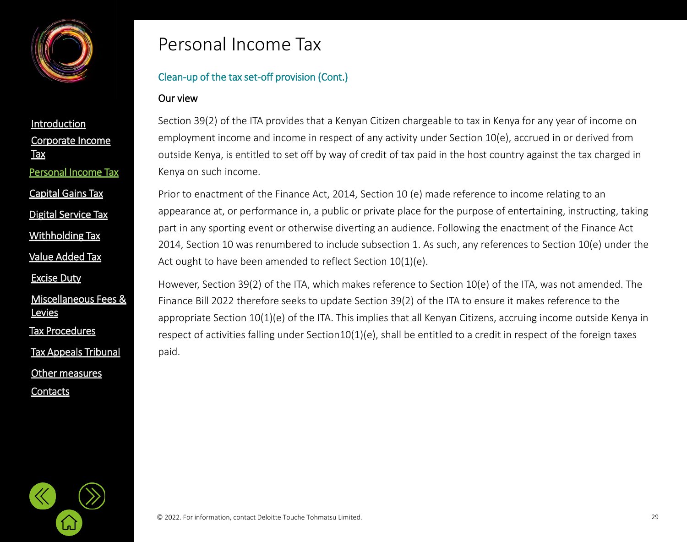

[Corporate Income](#page-2-0)  **Tax [Introduction](#page-1-0)** Personal [Income Tax](#page-21-0) [Capital Gains Tax](#page-21-0)

[Digital Service Tax](#page-21-0)

[Withholding](#page-21-0) Tax

[Value Added Tax](#page-33-0)

[Excise Duty](#page-45-0)

[Miscellaneous Fees &](#page-56-0)  **Levies** 

[Tax Procedures](#page-61-0)

[Tax Appeals Tribunal](#page-61-0)

[Other measures](#page-72-0)

**[Contacts](#page-75-0)** 

### Personal Income Tax

#### Clean-up of the tax set-off provision (Cont.)

#### Our view

Section 39(2) of the ITA provides that a Kenyan Citizen chargeable to tax in Kenya for any year of income on employment income and income in respect of any activity under Section 10(e), accrued in or derived from outside Kenya, is entitled to set off by way of credit of tax paid in the host country against the tax charged in Kenya on such income.

Prior to enactment of the Finance Act, 2014, Section 10 (e) made reference to income relating to an appearance at, or performance in, a public or private place for the purpose of entertaining, instructing, taking part in any sporting event or otherwise diverting an audience. Following the enactment of the Finance Act 2014, Section 10 was renumbered to include subsection 1. As such, any references to Section 10(e) under the Act ought to have been amended to reflect Section 10(1)(e).

However, Section 39(2) of the ITA, which makes reference to Section 10(e) of the ITA, was not amended. The Finance Bill 2022 therefore seeks to update Section 39(2) of the ITA to ensure it makes reference to the appropriate Section 10(1)(e) of the ITA. This implies that all Kenyan Citizens, accruing income outside Kenya in respect of activities falling under Section10(1)(e), shall be entitled to a credit in respect of the foreign taxes paid.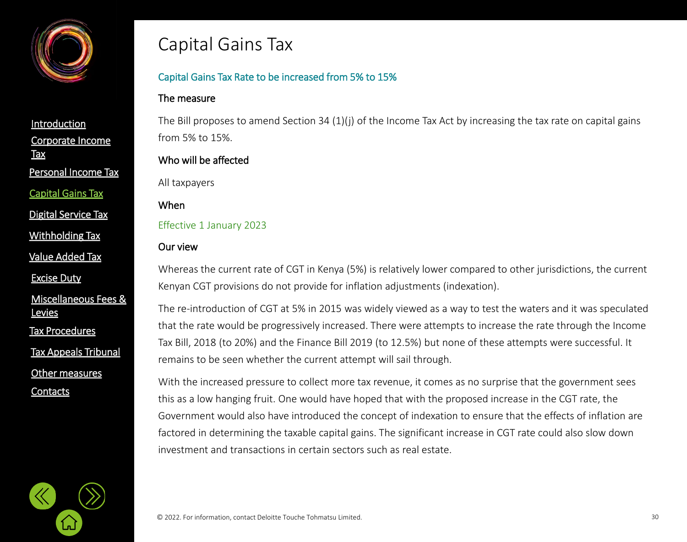<span id="page-29-0"></span>

[Corporate Income](#page-2-0)  **Tax [Introduction](#page-1-0)** Personal [Income Tax](#page-21-0) [Capital Gains Tax](#page-21-0)

[Digital Service Tax](#page-21-0)

[Withholding](#page-21-0) Tax

[Value Added Tax](#page-33-0)

[Excise Duty](#page-45-0)

[Miscellaneous Fees &](#page-56-0)  **Levies** 

[Tax Procedures](#page-61-0)

[Tax Appeals Tribunal](#page-61-0)

[Other measures](#page-72-0)

**[Contacts](#page-75-0)** 

### Capital Gains Tax

#### Capital Gains Tax Rate to be increased from 5% to 15%

#### The measure

The Bill proposes to amend Section 34 (1)(j) of the Income Tax Act by increasing the tax rate on capital gains from 5% to 15%.

#### Who will be affected

All taxpayers

#### When

Effective 1 January 2023

#### Our view

Whereas the current rate of CGT in Kenya (5%) is relatively lower compared to other jurisdictions, the current Kenyan CGT provisions do not provide for inflation adjustments (indexation).

The re-introduction of CGT at 5% in 2015 was widely viewed as a way to test the waters and it was speculated that the rate would be progressively increased. There were attempts to increase the rate through the Income Tax Bill, 2018 (to 20%) and the Finance Bill 2019 (to 12.5%) but none of these attempts were successful. It remains to be seen whether the current attempt will sail through.

With the increased pressure to collect more tax revenue, it comes as no surprise that the government sees this as a low hanging fruit. One would have hoped that with the proposed increase in the CGT rate, the Government would also have introduced the concept of indexation to ensure that the effects of inflation are factored in determining the taxable capital gains. The significant increase in CGT rate could also slow down investment and transactions in certain sectors such as real estate.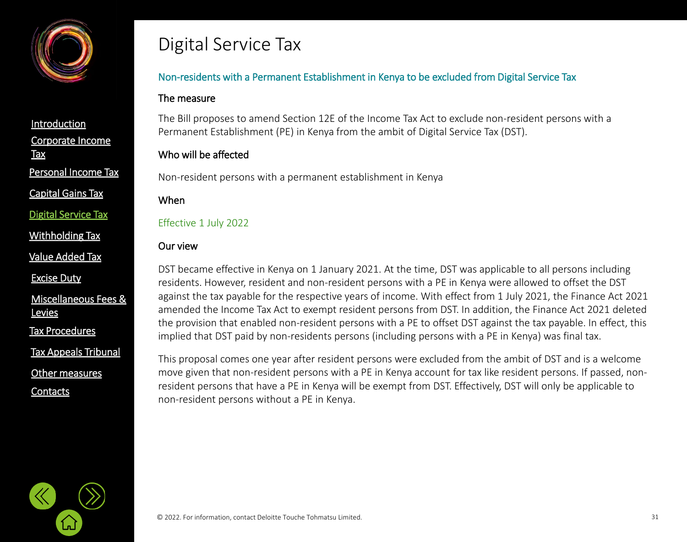<span id="page-30-0"></span>

[Capital Gains Tax](#page-21-0)

[Digital Service Tax](#page-21-0)

[Withholding](#page-21-0) Tax

[Value Added Tax](#page-33-0)

[Excise Duty](#page-45-0)

[Miscellaneous Fees &](#page-56-0)  **Levies** 

[Tax Procedures](#page-61-0)

[Tax Appeals Tribunal](#page-61-0)

[Other measures](#page-72-0)

**[Contacts](#page-75-0)** 

### Digital Service Tax

#### Non-residents with a Permanent Establishment in Kenya to be excluded from Digital Service Tax

#### The measure

The Bill proposes to amend Section 12E of the Income Tax Act to exclude non-resident persons with a Permanent Establishment (PE) in Kenya from the ambit of Digital Service Tax (DST).

#### Who will be affected

Non-resident persons with a permanent establishment in Kenya

#### When

#### Effective 1 July 2022

#### Our view

DST became effective in Kenya on 1 January 2021. At the time, DST was applicable to all persons including residents. However, resident and non-resident persons with a PE in Kenya were allowed to offset the DST against the tax payable for the respective years of income. With effect from 1 July 2021, the Finance Act 2021 amended the Income Tax Act to exempt resident persons from DST. In addition, the Finance Act 2021 deleted the provision that enabled non-resident persons with a PE to offset DST against the tax payable. In effect, this implied that DST paid by non-residents persons (including persons with a PE in Kenya) was final tax.

This proposal comes one year after resident persons were excluded from the ambit of DST and is a welcome move given that non-resident persons with a PE in Kenya account for tax like resident persons. If passed, nonresident persons that have a PE in Kenya will be exempt from DST. Effectively, DST will only be applicable to non-resident persons without a PE in Kenya.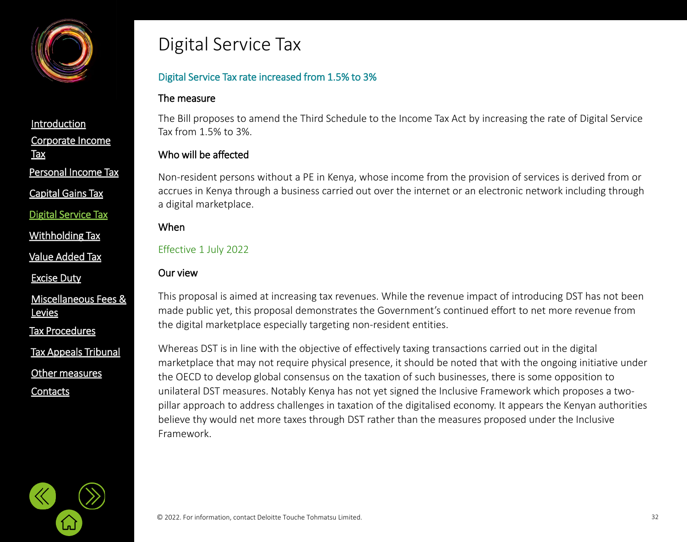

[Capital Gains Tax](#page-21-0)

[Digital Service Tax](#page-21-0)

[Withholding](#page-21-0) Tax

[Value Added Tax](#page-33-0)

[Excise Duty](#page-45-0)

[Miscellaneous Fees &](#page-56-0)  **Levies** 

[Tax Procedures](#page-61-0)

[Tax Appeals Tribunal](#page-61-0)

[Other measures](#page-72-0)

**[Contacts](#page-75-0)** 

### Digital Service Tax

#### Digital Service Tax rate increased from 1.5% to 3%

#### The measure

The Bill proposes to amend the Third Schedule to the Income Tax Act by increasing the rate of Digital Service Tax from 1.5% to 3%.

#### Who will be affected

Non-resident persons without a PE in Kenya, whose income from the provision of services is derived from or accrues in Kenya through a business carried out over the internet or an electronic network including through a digital marketplace.

#### When

Effective 1 July 2022

#### Our view

This proposal is aimed at increasing tax revenues. While the revenue impact of introducing DST has not been made public yet, this proposal demonstrates the Government's continued effort to net more revenue from the digital marketplace especially targeting non-resident entities.

Whereas DST is in line with the objective of effectively taxing transactions carried out in the digital marketplace that may not require physical presence, it should be noted that with the ongoing initiative under the OECD to develop global consensus on the taxation of such businesses, there is some opposition to unilateral DST measures. Notably Kenya has not yet signed the Inclusive Framework which proposes a twopillar approach to address challenges in taxation of the digitalised economy. It appears the Kenyan authorities believe thy would net more taxes through DST rather than the measures proposed under the Inclusive Framework.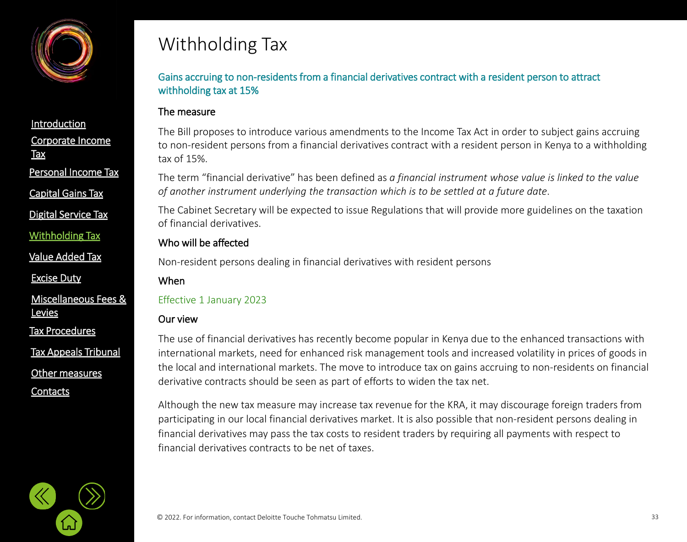<span id="page-32-0"></span>

[Capital Gains Tax](#page-21-0)

[Digital Service Tax](#page-21-0)

[Withholding](#page-21-0) Tax

[Value Added Tax](#page-33-0)

[Excise Duty](#page-45-0)

[Miscellaneous Fees &](#page-56-0)  **Levies** 

[Tax Procedures](#page-61-0)

[Tax Appeals Tribunal](#page-61-0)

[Other measures](#page-72-0)

**[Contacts](#page-75-0)** 

## Withholding Tax

Gains accruing to non-residents from a financial derivatives contract with a resident person to attract withholding tax at 15%

#### The measure

The Bill proposes to introduce various amendments to the Income Tax Act in order to subject gains accruing to non-resident persons from a financial derivatives contract with a resident person in Kenya to a withholding tax of 15%.

The term "financial derivative" has been defined as *a financial instrument whose value is linked to the value of another instrument underlying the transaction which is to be settled at a future date*.

The Cabinet Secretary will be expected to issue Regulations that will provide more guidelines on the taxation of financial derivatives.

#### Who will be affected

Non-resident persons dealing in financial derivatives with resident persons

#### When

Effective 1 January 2023

#### Our view

The use of financial derivatives has recently become popular in Kenya due to the enhanced transactions with international markets, need for enhanced risk management tools and increased volatility in prices of goods in the local and international markets. The move to introduce tax on gains accruing to non-residents on financial derivative contracts should be seen as part of efforts to widen the tax net.

Although the new tax measure may increase tax revenue for the KRA, it may discourage foreign traders from participating in our local financial derivatives market. It is also possible that non-resident persons dealing in financial derivatives may pass the tax costs to resident traders by requiring all payments with respect to financial derivatives contracts to be net of taxes.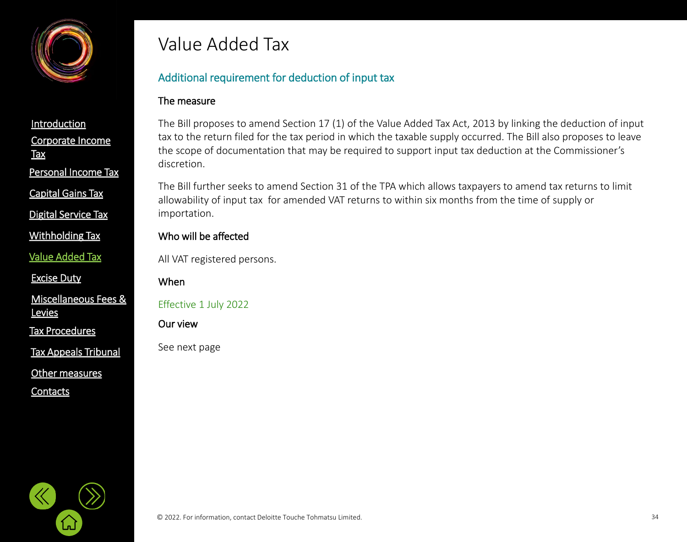<span id="page-33-0"></span>

[Capital Gains Tax](#page-21-0)

[Digital Service Tax](#page-21-0)

[Withholding](#page-21-0) Tax

[Value Added Tax](#page-33-0)

[Excise Duty](#page-45-0)

[Miscellaneous Fees &](#page-56-0)  **Levies** 

[Tax Procedures](#page-61-0)

[Tax Appeals Tribunal](#page-61-0)

[Other measures](#page-72-0)

**[Contacts](#page-75-0)** 

### Value Added Tax

#### Additional requirement for deduction of input tax

#### The measure

The Bill proposes to amend Section 17 (1) of the Value Added Tax Act, 2013 by linking the deduction of input tax to the return filed for the tax period in which the taxable supply occurred. The Bill also proposes to leave the scope of documentation that may be required to support input tax deduction at the Commissioner's discretion.

The Bill further seeks to amend Section 31 of the TPA which allows taxpayers to amend tax returns to limit allowability of input tax for amended VAT returns to within six months from the time of supply or importation.

#### Who will be affected

All VAT registered persons.

When

Effective 1 July 2022

Our view

See next page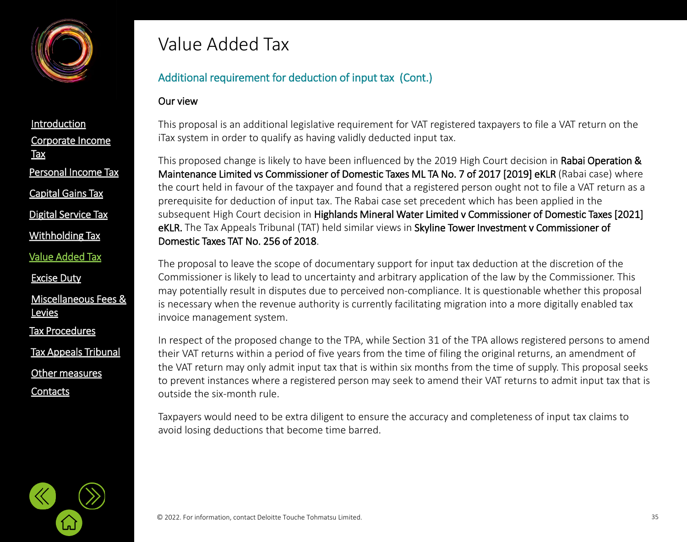

[Corporate Income](#page-2-0)  **Tax [Introduction](#page-1-0)** Personal [Income Tax](#page-21-0) [Digital Service Tax](#page-21-0) [Capital Gains Tax](#page-21-0)

[Withholding](#page-21-0) Tax

[Value Added Tax](#page-33-0)

[Excise Duty](#page-45-0)

[Miscellaneous Fees &](#page-56-0)  **Levies** 

[Tax Procedures](#page-61-0)

[Tax Appeals Tribunal](#page-61-0)

[Other measures](#page-72-0)

**[Contacts](#page-75-0)** 

### Value Added Tax

#### Additional requirement for deduction of input tax (Cont.)

#### Our view

This proposal is an additional legislative requirement for VAT registered taxpayers to file a VAT return on the iTax system in order to qualify as having validly deducted input tax.

This proposed change is likely to have been influenced by the 2019 High Court decision in Rabai Operation & Maintenance Limited vs Commissioner of Domestic Taxes ML TA No. 7 of 2017 [2019] eKLR (Rabai case) where the court held in favour of the taxpayer and found that a registered person ought not to file a VAT return as a prerequisite for deduction of input tax. The Rabai case set precedent which has been applied in the subsequent High Court decision in Highlands Mineral Water Limited v Commissioner of Domestic Taxes [2021] eKLR. The Tax Appeals Tribunal (TAT) held similar views in Skyline Tower Investment v Commissioner of Domestic Taxes TAT No. 256 of 2018.

The proposal to leave the scope of documentary support for input tax deduction at the discretion of the Commissioner is likely to lead to uncertainty and arbitrary application of the law by the Commissioner. This may potentially result in disputes due to perceived non-compliance. It is questionable whether this proposal is necessary when the revenue authority is currently facilitating migration into a more digitally enabled tax invoice management system.

In respect of the proposed change to the TPA, while Section 31 of the TPA allows registered persons to amend their VAT returns within a period of five years from the time of filing the original returns, an amendment of the VAT return may only admit input tax that is within six months from the time of supply. This proposal seeks to prevent instances where a registered person may seek to amend their VAT returns to admit input tax that is outside the six-month rule.

Taxpayers would need to be extra diligent to ensure the accuracy and completeness of input tax claims to avoid losing deductions that become time barred.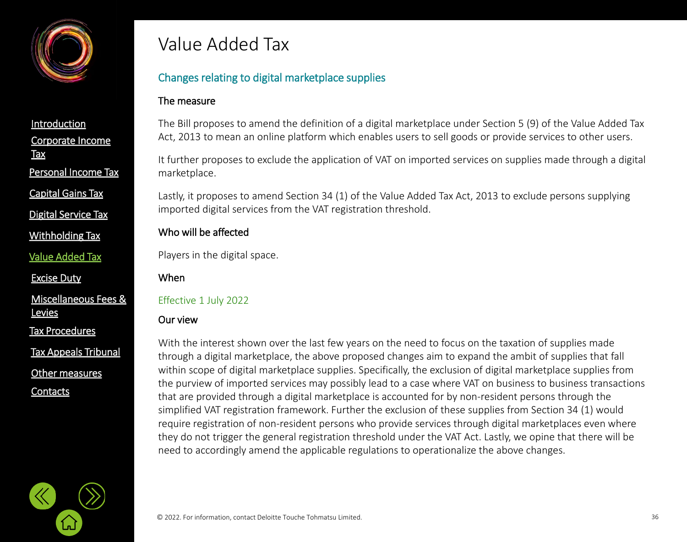

[Capital Gains Tax](#page-21-0)

[Digital Service Tax](#page-21-0)

[Withholding](#page-21-0) Tax

[Value Added Tax](#page-33-0)

[Excise Duty](#page-45-0)

[Miscellaneous Fees &](#page-56-0)  **Levies** 

[Tax Procedures](#page-61-0)

[Tax Appeals Tribunal](#page-61-0)

[Other measures](#page-72-0)

**[Contacts](#page-75-0)** 

### Value Added Tax

#### Changes relating to digital marketplace supplies

#### The measure

The Bill proposes to amend the definition of a digital marketplace under Section 5 (9) of the Value Added Tax Act, 2013 to mean an online platform which enables users to sell goods or provide services to other users.

It further proposes to exclude the application of VAT on imported services on supplies made through a digital marketplace.

Lastly, it proposes to amend Section 34 (1) of the Value Added Tax Act, 2013 to exclude persons supplying imported digital services from the VAT registration threshold.

#### Who will be affected

Players in the digital space.

#### When

#### Effective 1 July 2022

#### Our view

With the interest shown over the last few years on the need to focus on the taxation of supplies made through a digital marketplace, the above proposed changes aim to expand the ambit of supplies that fall within scope of digital marketplace supplies. Specifically, the exclusion of digital marketplace supplies from the purview of imported services may possibly lead to a case where VAT on business to business transactions that are provided through a digital marketplace is accounted for by non-resident persons through the simplified VAT registration framework. Further the exclusion of these supplies from Section 34 (1) would require registration of non-resident persons who provide services through digital marketplaces even where they do not trigger the general registration threshold under the VAT Act. Lastly, we opine that there will be need to accordingly amend the applicable regulations to operationalize the above changes.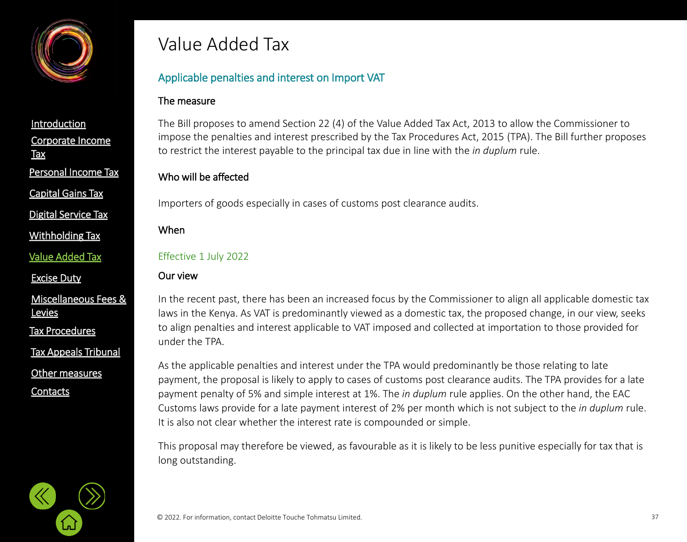

Personal [Income Tax](#page-21-0)

[Capital Gains Tax](#page-21-0)

[Digital Service Tax](#page-21-0)

[Withholding](#page-21-0) Tax

[Value Added Tax](#page-33-0)

[Excise Duty](#page-45-0)

[Miscellaneous Fees &](#page-56-0)  **Levies** 

[Tax Procedures](#page-61-0)

[Tax Appeals Tribunal](#page-61-0)

[Other measures](#page-72-0)

**[Contacts](#page-75-0)** 

# Value Added Tax

## Applicable penalties and interest on Import VAT

### The measure

The Bill proposes to amend Section 22 (4) of the Value Added Tax Act, 2013 to allow the Commissioner to impose the penalties and interest prescribed by the Tax Procedures Act, 2015 (TPA). The Bill further proposes to restrict the interest payable to the principal tax due in line with the *in duplum* rule.

## Who will be affected

Importers of goods especially in cases of customs post clearance audits.

When

### Effective 1 July 2022

## Our view

In the recent past, there has been an increased focus by the Commissioner to align all applicable domestic tax laws in the Kenya. As VAT is predominantly viewed as a domestic tax, the proposed change, in our view, seeks to align penalties and interest applicable to VAT imposed and collected at importation to those provided for under the TPA.

As the applicable penalties and interest under the TPA would predominantly be those relating to late payment, the proposal is likely to apply to cases of customs post clearance audits. The TPA provides for a late payment penalty of 5% and simple interest at 1%. The *in duplum* rule applies. On the other hand, the EAC Customs laws provide for a late payment interest of 2% per month which is not subject to the *in duplum* rule. It is also not clear whether the interest rate is compounded or simple.

This proposal may therefore be viewed, as favourable as it is likely to be less punitive especially for tax that is long outstanding.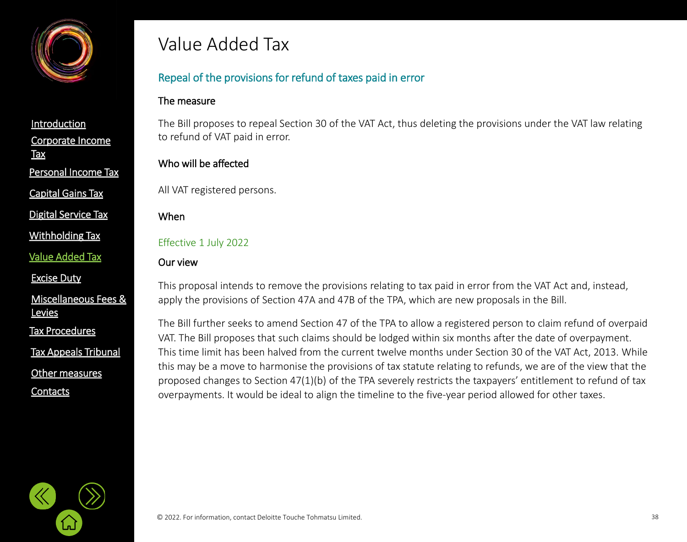

[Capital Gains Tax](#page-21-0)

[Digital Service Tax](#page-21-0)

[Withholding](#page-21-0) Tax

[Value Added Tax](#page-33-0)

[Excise Duty](#page-45-0)

[Miscellaneous Fees &](#page-56-0)  **Levies** 

[Tax Procedures](#page-61-0)

[Tax Appeals Tribunal](#page-61-0)

[Other measures](#page-72-0)

**[Contacts](#page-75-0)** 

# Value Added Tax

## Repeal of the provisions for refund of taxes paid in error

#### The measure

The Bill proposes to repeal Section 30 of the VAT Act, thus deleting the provisions under the VAT law relating to refund of VAT paid in error.

## Who will be affected

All VAT registered persons.

#### When

Effective 1 July 2022

## Our view

This proposal intends to remove the provisions relating to tax paid in error from the VAT Act and, instead, apply the provisions of Section 47A and 47B of the TPA, which are new proposals in the Bill.

The Bill further seeks to amend Section 47 of the TPA to allow a registered person to claim refund of overpaid VAT. The Bill proposes that such claims should be lodged within six months after the date of overpayment. This time limit has been halved from the current twelve months under Section 30 of the VAT Act, 2013. While this may be a move to harmonise the provisions of tax statute relating to refunds, we are of the view that the proposed changes to Section 47(1)(b) of the TPA severely restricts the taxpayers' entitlement to refund of tax overpayments. It would be ideal to align the timeline to the five-year period allowed for other taxes.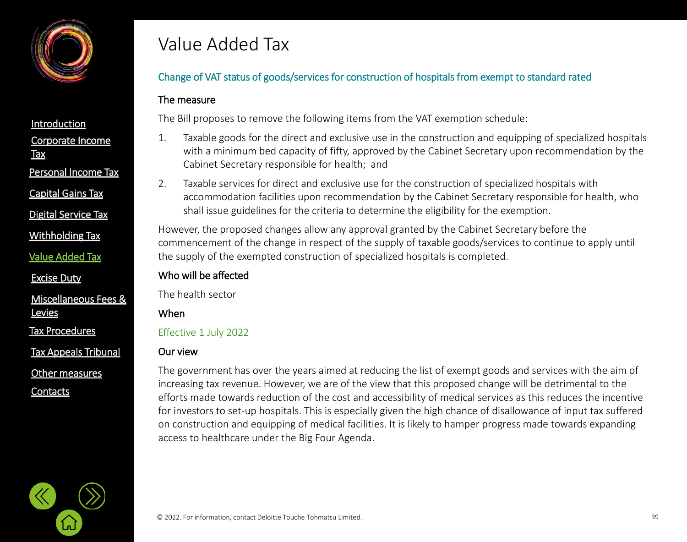

**Tax** 

Personal [Income Tax](#page-21-0)

[Capital Gains Tax](#page-21-0)

[Digital Service Tax](#page-21-0)

[Withholding](#page-21-0) Tax

[Value Added Tax](#page-33-0)

[Excise Duty](#page-45-0)

[Miscellaneous Fees &](#page-56-0)  **Levies** 

[Tax Procedures](#page-61-0)

[Tax Appeals Tribunal](#page-61-0)

[Other measures](#page-72-0)

**[Contacts](#page-75-0)** 

# Value Added Tax

## Change of VAT status of goods/services for construction of hospitals from exempt to standard rated

### The measure

The Bill proposes to remove the following items from the VAT exemption schedule:

- 1. Taxable goods for the direct and exclusive use in the construction and equipping of specialized hospitals with a minimum bed capacity of fifty, approved by the Cabinet Secretary upon recommendation by the Cabinet Secretary responsible for health; and
- 2. Taxable services for direct and exclusive use for the construction of specialized hospitals with accommodation facilities upon recommendation by the Cabinet Secretary responsible for health, who shall issue guidelines for the criteria to determine the eligibility for the exemption.

However, the proposed changes allow any approval granted by the Cabinet Secretary before the commencement of the change in respect of the supply of taxable goods/services to continue to apply until the supply of the exempted construction of specialized hospitals is completed.

## Who will be affected

The health sector

When

Effective 1 July 2022

## Our view

The government has over the years aimed at reducing the list of exempt goods and services with the aim of increasing tax revenue. However, we are of the view that this proposed change will be detrimental to the efforts made towards reduction of the cost and accessibility of medical services as this reduces the incentive for investors to set-up hospitals. This is especially given the high chance of disallowance of input tax suffered on construction and equipping of medical facilities. It is likely to hamper progress made towards expanding access to healthcare under the Big Four Agenda.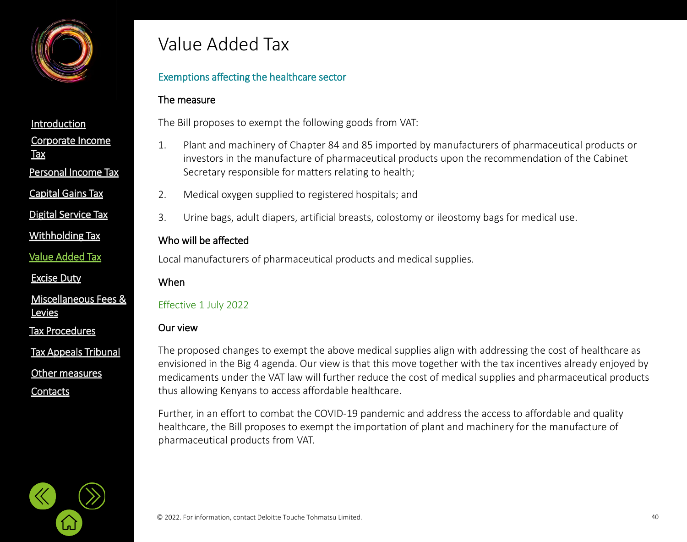

Personal [Income Tax](#page-21-0)

[Capital Gains Tax](#page-21-0)

[Digital Service Tax](#page-21-0)

[Withholding](#page-21-0) Tax

[Value Added Tax](#page-33-0)

[Excise Duty](#page-45-0)

[Miscellaneous Fees &](#page-56-0)  **Levies** 

[Tax Procedures](#page-61-0)

[Tax Appeals Tribunal](#page-61-0)

[Other measures](#page-72-0)

**[Contacts](#page-75-0)** 

## Value Added Tax

## Exemptions affecting the healthcare sector

### The measure

The Bill proposes to exempt the following goods from VAT:

- 1. Plant and machinery of Chapter 84 and 85 imported by manufacturers of pharmaceutical products or investors in the manufacture of pharmaceutical products upon the recommendation of the Cabinet Secretary responsible for matters relating to health;
- 2. Medical oxygen supplied to registered hospitals; and
- 3. Urine bags, adult diapers, artificial breasts, colostomy or ileostomy bags for medical use.

## Who will be affected

Local manufacturers of pharmaceutical products and medical supplies.

#### When

## Effective 1 July 2022

### Our view

The proposed changes to exempt the above medical supplies align with addressing the cost of healthcare as envisioned in the Big 4 agenda. Our view is that this move together with the tax incentives already enjoyed by medicaments under the VAT law will further reduce the cost of medical supplies and pharmaceutical products thus allowing Kenyans to access affordable healthcare.

Further, in an effort to combat the COVID-19 pandemic and address the access to affordable and quality healthcare, the Bill proposes to exempt the importation of plant and machinery for the manufacture of pharmaceutical products from VAT.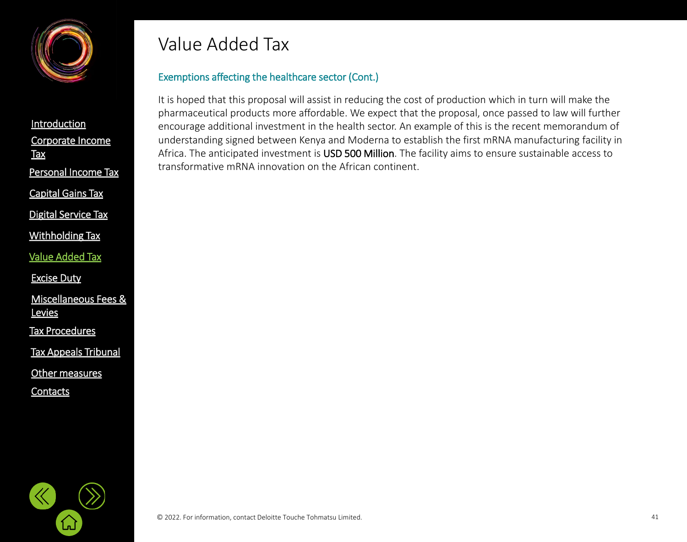

[Corporate Income](#page-2-0)  **Tax [Introduction](#page-1-0)** Personal [Income Tax](#page-21-0) [Digital Service Tax](#page-21-0) [Capital Gains Tax](#page-21-0)

[Withholding](#page-21-0) Tax

[Value Added Tax](#page-33-0)

[Excise Duty](#page-45-0)

[Miscellaneous Fees &](#page-56-0)  **Levies** 

[Tax Procedures](#page-61-0)

[Tax Appeals Tribunal](#page-61-0)

[Other measures](#page-72-0)

**[Contacts](#page-75-0)** 

# Value Added Tax

## Exemptions affecting the healthcare sector (Cont.)

It is hoped that this proposal will assist in reducing the cost of production which in turn will make the pharmaceutical products more affordable. We expect that the proposal, once passed to law will further encourage additional investment in the health sector. An example of this is the recent memorandum of understanding signed between Kenya and Moderna to establish the first mRNA manufacturing facility in Africa. The anticipated investment is USD 500 Million. The facility aims to ensure sustainable access to transformative mRNA innovation on the African continent.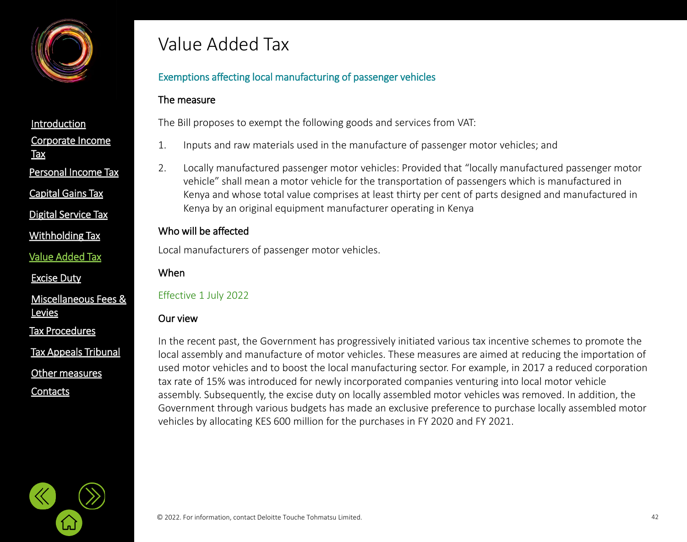

Personal [Income Tax](#page-21-0)

[Capital Gains Tax](#page-21-0)

[Digital Service Tax](#page-21-0)

[Withholding](#page-21-0) Tax

[Value Added Tax](#page-33-0)

[Excise Duty](#page-45-0)

[Miscellaneous Fees &](#page-56-0)  **Levies** 

[Tax Procedures](#page-61-0)

[Tax Appeals Tribunal](#page-61-0)

[Other measures](#page-72-0)

**[Contacts](#page-75-0)** 

# Value Added Tax

## Exemptions affecting local manufacturing of passenger vehicles

### The measure

The Bill proposes to exempt the following goods and services from VAT:

- 1. Inputs and raw materials used in the manufacture of passenger motor vehicles; and
- 2. Locally manufactured passenger motor vehicles: Provided that "locally manufactured passenger motor vehicle" shall mean a motor vehicle for the transportation of passengers which is manufactured in Kenya and whose total value comprises at least thirty per cent of parts designed and manufactured in Kenya by an original equipment manufacturer operating in Kenya

## Who will be affected

Local manufacturers of passenger motor vehicles.

#### When

### Effective 1 July 2022

### Our view

In the recent past, the Government has progressively initiated various tax incentive schemes to promote the local assembly and manufacture of motor vehicles. These measures are aimed at reducing the importation of used motor vehicles and to boost the local manufacturing sector. For example, in 2017 a reduced corporation tax rate of 15% was introduced for newly incorporated companies venturing into local motor vehicle assembly. Subsequently, the excise duty on locally assembled motor vehicles was removed. In addition, the Government through various budgets has made an exclusive preference to purchase locally assembled motor vehicles by allocating KES 600 million for the purchases in FY 2020 and FY 2021.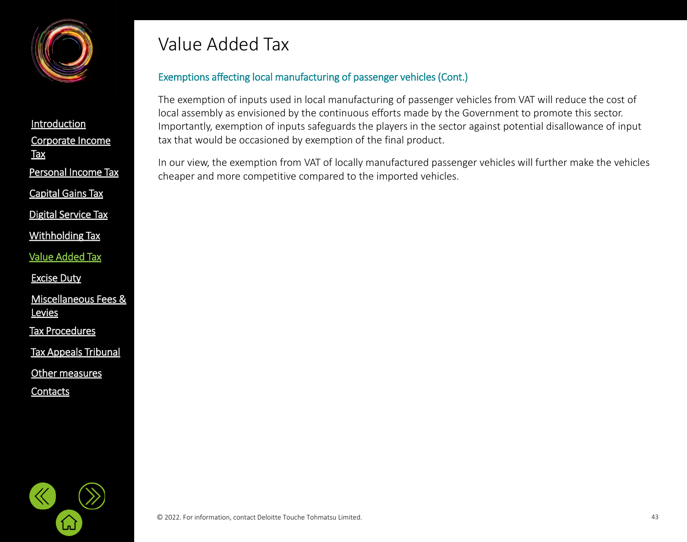

[Corporate Income](#page-2-0)  **Tax [Introduction](#page-1-0)** Personal [Income Tax](#page-21-0) [Digital Service Tax](#page-21-0) [Capital Gains Tax](#page-21-0)

[Withholding](#page-21-0) Tax

[Value Added Tax](#page-33-0)

[Excise Duty](#page-45-0)

[Miscellaneous Fees &](#page-56-0)  **Levies** 

[Tax Procedures](#page-61-0)

[Tax Appeals Tribunal](#page-61-0)

[Other measures](#page-72-0)

**[Contacts](#page-75-0)** 

# Value Added Tax

## Exemptions affecting local manufacturing of passenger vehicles (Cont.)

The exemption of inputs used in local manufacturing of passenger vehicles from VAT will reduce the cost of local assembly as envisioned by the continuous efforts made by the Government to promote this sector. Importantly, exemption of inputs safeguards the players in the sector against potential disallowance of input tax that would be occasioned by exemption of the final product.

In our view, the exemption from VAT of locally manufactured passenger vehicles will further make the vehicles cheaper and more competitive compared to the imported vehicles.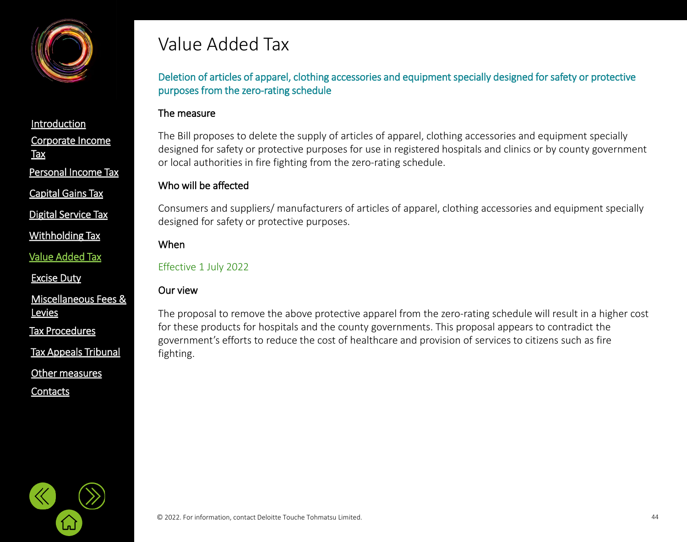

[Capital Gains Tax](#page-21-0)

[Digital Service Tax](#page-21-0)

[Withholding](#page-21-0) Tax

[Value Added Tax](#page-33-0)

[Excise Duty](#page-45-0)

[Miscellaneous Fees &](#page-56-0)  **Levies** 

[Tax Procedures](#page-61-0)

[Tax Appeals Tribunal](#page-61-0)

[Other measures](#page-72-0)

**[Contacts](#page-75-0)** 

# Value Added Tax

Deletion of articles of apparel, clothing accessories and equipment specially designed for safety or protective purposes from the zero-rating schedule

#### The measure

The Bill proposes to delete the supply of articles of apparel, clothing accessories and equipment specially designed for safety or protective purposes for use in registered hospitals and clinics or by county government or local authorities in fire fighting from the zero-rating schedule.

#### Who will be affected

Consumers and suppliers/ manufacturers of articles of apparel, clothing accessories and equipment specially designed for safety or protective purposes.

#### When

#### Effective 1 July 2022

## Our view

The proposal to remove the above protective apparel from the zero-rating schedule will result in a higher cost for these products for hospitals and the county governments. This proposal appears to contradict the government's efforts to reduce the cost of healthcare and provision of services to citizens such as fire fighting.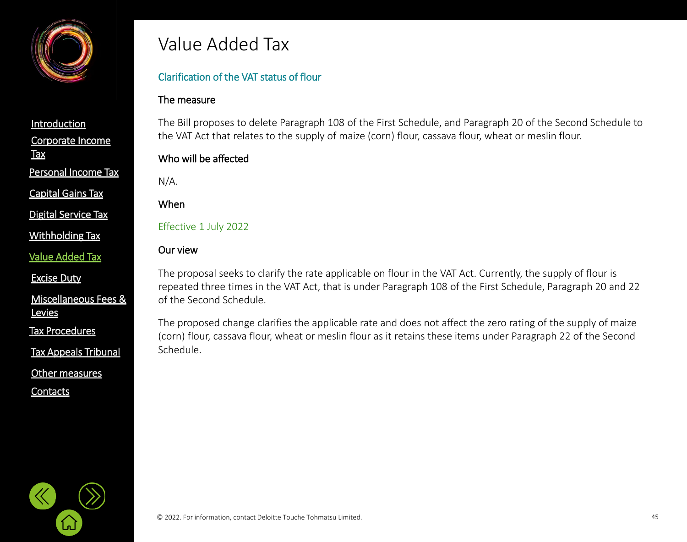

Personal [Income Tax](#page-21-0)

[Capital Gains Tax](#page-21-0)

[Digital Service Tax](#page-21-0)

[Withholding](#page-21-0) Tax

[Value Added Tax](#page-33-0)

[Excise Duty](#page-45-0)

[Miscellaneous Fees &](#page-56-0)  **Levies** 

[Tax Procedures](#page-61-0)

[Tax Appeals Tribunal](#page-61-0)

[Other measures](#page-72-0)

**[Contacts](#page-75-0)** 

## Value Added Tax

## Clarification of the VAT status of flour

### The measure

The Bill proposes to delete Paragraph 108 of the First Schedule, and Paragraph 20 of the Second Schedule to the VAT Act that relates to the supply of maize (corn) flour, cassava flour, wheat or meslin flour.

## Who will be affected

N/A.

When

Effective 1 July 2022

#### Our view

The proposal seeks to clarify the rate applicable on flour in the VAT Act. Currently, the supply of flour is repeated three times in the VAT Act, that is under Paragraph 108 of the First Schedule, Paragraph 20 and 22 of the Second Schedule.

The proposed change clarifies the applicable rate and does not affect the zero rating of the supply of maize (corn) flour, cassava flour, wheat or meslin flour as it retains these items under Paragraph 22 of the Second Schedule.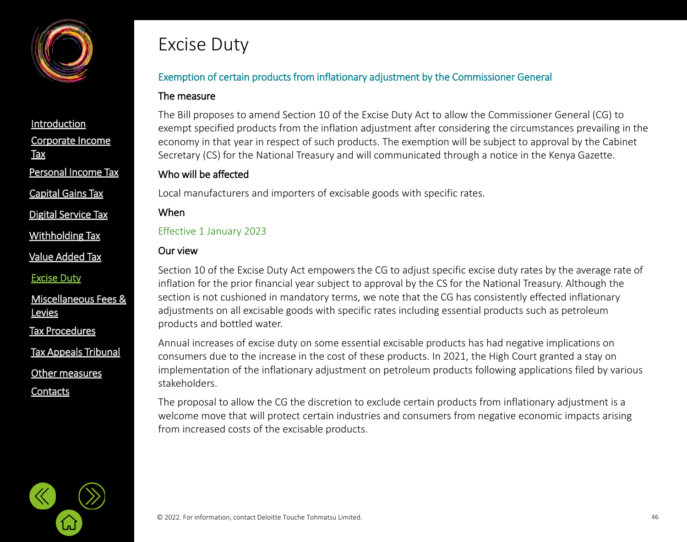<span id="page-45-0"></span>

Personal [Income Tax](#page-21-0)

[Capital Gains Tax](#page-21-0)

[Digital Service Tax](#page-21-0)

[Withholding](#page-21-0) Tax

[Value Added Tax](#page-33-0)

[Excise Duty](#page-45-0)

[Miscellaneous Fees &](#page-56-0)  **Levies** 

[Tax Procedures](#page-61-0)

[Tax Appeals Tribunal](#page-61-0)

[Other measures](#page-72-0)

**[Contacts](#page-75-0)** 

# Excise Duty

## Exemption of certain products from inflationary adjustment by the Commissioner General

### The measure

The Bill proposes to amend Section 10 of the Excise Duty Act to allow the Commissioner General (CG) to exempt specified products from the inflation adjustment after considering the circumstances prevailing in the economy in that year in respect of such products. The exemption will be subject to approval by the Cabinet Secretary (CS) for the National Treasury and will communicated through a notice in the Kenya Gazette.

#### Who will be affected

Local manufacturers and importers of excisable goods with specific rates.

#### When

Effective 1 January 2023

#### Our view

Section 10 of the Excise Duty Act empowers the CG to adjust specific excise duty rates by the average rate of inflation for the prior financial year subject to approval by the CS for the National Treasury. Although the section is not cushioned in mandatory terms, we note that the CG has consistently effected inflationary adjustments on all excisable goods with specific rates including essential products such as petroleum products and bottled water.

Annual increases of excise duty on some essential excisable products has had negative implications on consumers due to the increase in the cost of these products. In 2021, the High Court granted a stay on implementation of the inflationary adjustment on petroleum products following applications filed by various stakeholders.

The proposal to allow the CG the discretion to exclude certain products from inflationary adjustment is a welcome move that will protect certain industries and consumers from negative economic impacts arising from increased costs of the excisable products.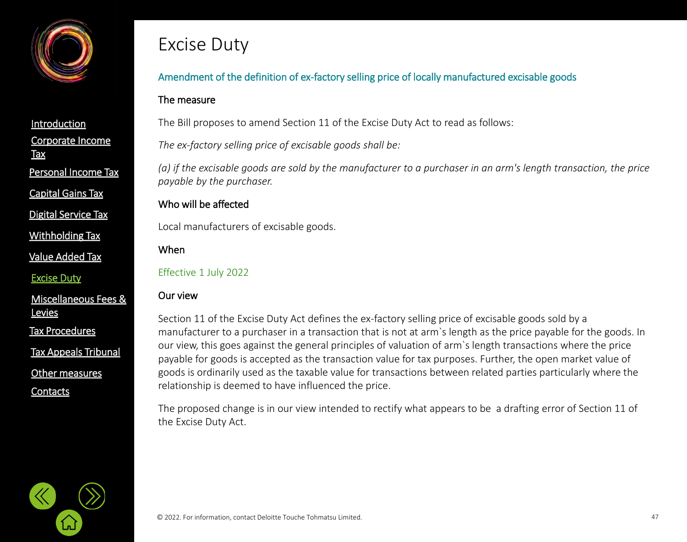

[Capital Gains Tax](#page-21-0)

[Digital Service Tax](#page-21-0)

[Withholding](#page-21-0) Tax

[Value Added Tax](#page-33-0)

[Excise Duty](#page-45-0)

[Miscellaneous Fees &](#page-56-0)  **Levies** 

[Tax Procedures](#page-61-0)

[Tax Appeals Tribunal](#page-61-0)

[Other measures](#page-72-0)

**[Contacts](#page-75-0)** 

# Excise Duty

## Amendment of the definition of ex-factory selling price of locally manufactured excisable goods

#### The measure

The Bill proposes to amend Section 11 of the Excise Duty Act to read as follows:

*The ex-factory selling price of excisable goods shall be:*

*(a) if the excisable goods are sold by the manufacturer to a purchaser in an arm's length transaction, the price payable by the purchaser.*

#### Who will be affected

Local manufacturers of excisable goods.

When

Effective 1 July 2022

#### Our view

Section 11 of the Excise Duty Act defines the ex-factory selling price of excisable goods sold by a manufacturer to a purchaser in a transaction that is not at arm`s length as the price payable for the goods. In our view, this goes against the general principles of valuation of arm`s length transactions where the price payable for goods is accepted as the transaction value for tax purposes. Further, the open market value of goods is ordinarily used as the taxable value for transactions between related parties particularly where the relationship is deemed to have influenced the price.

The proposed change is in our view intended to rectify what appears to be a drafting error of Section 11 of the Excise Duty Act.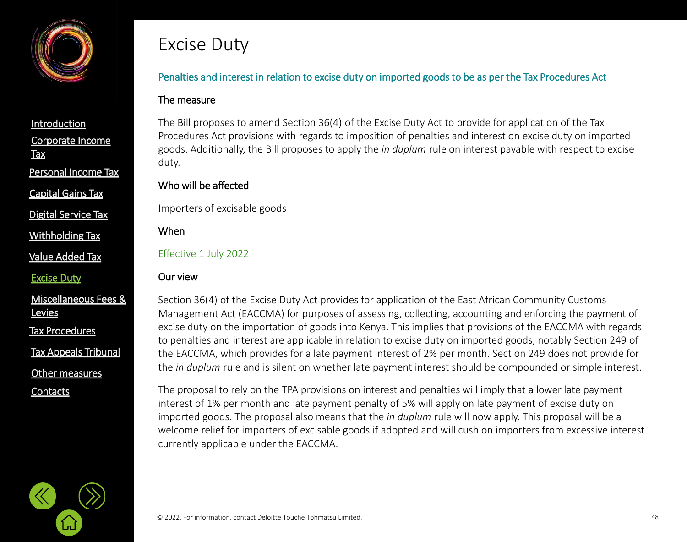

[Capital Gains Tax](#page-21-0)

[Digital Service Tax](#page-21-0)

[Withholding](#page-21-0) Tax

[Value Added Tax](#page-33-0)

[Excise Duty](#page-45-0)

[Miscellaneous Fees &](#page-56-0)  **Levies** 

[Tax Procedures](#page-61-0)

[Tax Appeals Tribunal](#page-61-0)

[Other measures](#page-72-0)

**[Contacts](#page-75-0)** 

# Excise Duty

## Penalties and interest in relation to excise duty on imported goods to be as per the Tax Procedures Act

#### The measure

The Bill proposes to amend Section 36(4) of the Excise Duty Act to provide for application of the Tax Procedures Act provisions with regards to imposition of penalties and interest on excise duty on imported goods. Additionally, the Bill proposes to apply the *in duplum* rule on interest payable with respect to excise duty.

### Who will be affected

Importers of excisable goods

When

Effective 1 July 2022

#### Our view

Section 36(4) of the Excise Duty Act provides for application of the East African Community Customs Management Act (EACCMA) for purposes of assessing, collecting, accounting and enforcing the payment of excise duty on the importation of goods into Kenya. This implies that provisions of the EACCMA with regards to penalties and interest are applicable in relation to excise duty on imported goods, notably Section 249 of the EACCMA, which provides for a late payment interest of 2% per month. Section 249 does not provide for the *in duplum* rule and is silent on whether late payment interest should be compounded or simple interest.

The proposal to rely on the TPA provisions on interest and penalties will imply that a lower late payment interest of 1% per month and late payment penalty of 5% will apply on late payment of excise duty on imported goods. The proposal also means that the *in duplum* rule will now apply. This proposal will be a welcome relief for importers of excisable goods if adopted and will cushion importers from excessive interest currently applicable under the EACCMA.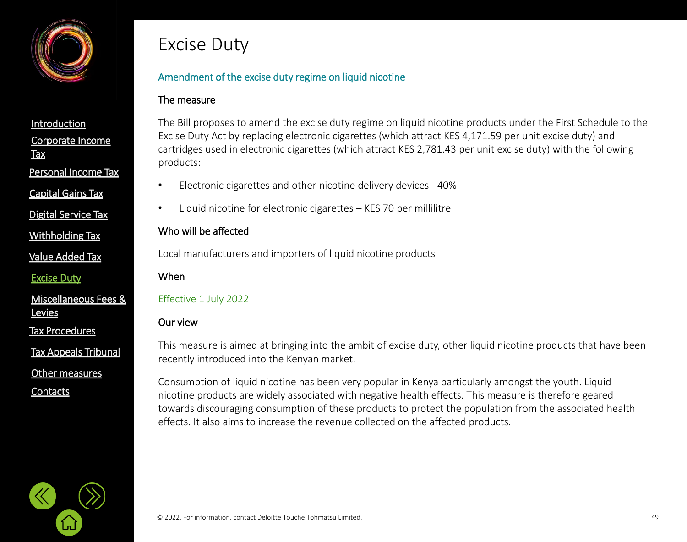

[Capital Gains Tax](#page-21-0)

[Digital Service Tax](#page-21-0)

[Withholding](#page-21-0) Tax

[Value Added Tax](#page-33-0)

[Excise Duty](#page-45-0)

[Miscellaneous Fees &](#page-56-0)  **Levies** 

[Tax Procedures](#page-61-0)

[Tax Appeals Tribunal](#page-61-0)

[Other measures](#page-72-0)

**[Contacts](#page-75-0)** 

# Excise Duty

## Amendment of the excise duty regime on liquid nicotine

### The measure

The Bill proposes to amend the excise duty regime on liquid nicotine products under the First Schedule to the Excise Duty Act by replacing electronic cigarettes (which attract KES 4,171.59 per unit excise duty) and cartridges used in electronic cigarettes (which attract KES 2,781.43 per unit excise duty) with the following products:

- Electronic cigarettes and other nicotine delivery devices 40%
- Liquid nicotine for electronic cigarettes KES 70 per millilitre

## Who will be affected

Local manufacturers and importers of liquid nicotine products

When

## Effective 1 July 2022

#### Our view

This measure is aimed at bringing into the ambit of excise duty, other liquid nicotine products that have been recently introduced into the Kenyan market.

Consumption of liquid nicotine has been very popular in Kenya particularly amongst the youth. Liquid nicotine products are widely associated with negative health effects. This measure is therefore geared towards discouraging consumption of these products to protect the population from the associated health effects. It also aims to increase the revenue collected on the affected products.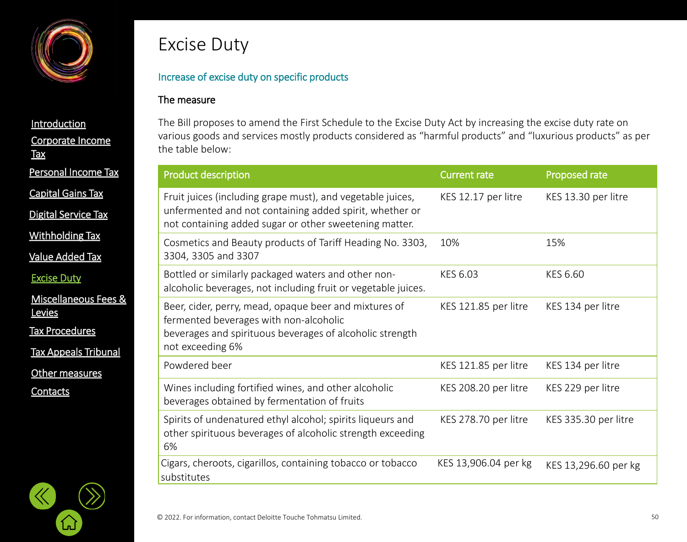

[Corporate Income](#page-2-0)  **Tax [Introduction](#page-1-0)** [Value Added Tax](#page-33-0) Personal [Income Tax](#page-21-0) [Digital Service Tax](#page-21-0) [Capital Gains Tax](#page-21-0) [Withholding](#page-21-0) Tax

[Excise Duty](#page-45-0)

[Miscellaneous Fees &](#page-56-0)  **Levies** 

[Tax Procedures](#page-61-0)

[Tax Appeals Tribunal](#page-61-0)

[Other measures](#page-72-0)

لىأ

**[Contacts](#page-75-0)** 



#### Increase of excise duty on specific products

#### The measure

The Bill proposes to amend the First Schedule to the Excise Duty Act by increasing the excise duty rate on various goods and services mostly products considered as "harmful products" and "luxurious products" as per the table below:

| <b>Product description</b>                                                                                                                                                      | <b>Current rate</b>  | Proposed rate        |
|---------------------------------------------------------------------------------------------------------------------------------------------------------------------------------|----------------------|----------------------|
| Fruit juices (including grape must), and vegetable juices,<br>unfermented and not containing added spirit, whether or<br>not containing added sugar or other sweetening matter. | KES 12.17 per litre  | KES 13.30 per litre  |
| Cosmetics and Beauty products of Tariff Heading No. 3303,<br>3304, 3305 and 3307                                                                                                | 10%                  | 15%                  |
| Bottled or similarly packaged waters and other non-<br>alcoholic beverages, not including fruit or vegetable juices.                                                            | KES 6.03             | KES 6.60             |
| Beer, cider, perry, mead, opaque beer and mixtures of<br>fermented beverages with non-alcoholic<br>beverages and spirituous beverages of alcoholic strength<br>not exceeding 6% | KES 121.85 per litre | KES 134 per litre    |
| Powdered beer                                                                                                                                                                   | KES 121.85 per litre | KES 134 per litre    |
| Wines including fortified wines, and other alcoholic<br>beverages obtained by fermentation of fruits                                                                            | KES 208.20 per litre | KES 229 per litre    |
| Spirits of undenatured ethyl alcohol; spirits liqueurs and<br>other spirituous beverages of alcoholic strength exceeding<br>6%                                                  | KES 278.70 per litre | KES 335.30 per litre |
| Cigars, cheroots, cigarillos, containing tobacco or tobacco<br>substitutes                                                                                                      | KES 13,906.04 per kg | KES 13,296.60 per kg |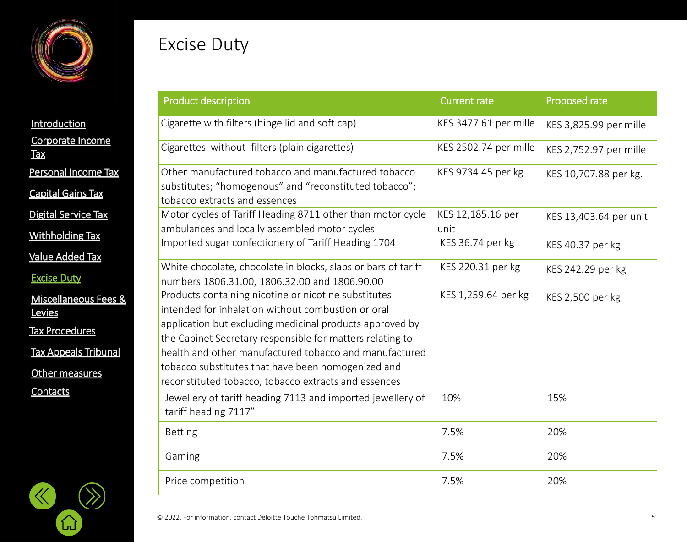

# Excise Duty

|                                | .                                    |
|--------------------------------|--------------------------------------|
| Introduction                   | Cigarette with fi                    |
| Corporate Income<br><u>Tax</u> | Cigarettes with                      |
| Personal Income Tax            | Other manufact                       |
| <b>Capital Gains Tax</b>       | substitutes; "ho<br>tobacco extracts |
| <b>Digital Service Tax</b>     | Motor cycles of                      |
| <b>Withholding Tax</b>         | ambulances and<br>Imported sugar     |
| <u>Value Added Tax</u>         | White chocolate                      |
| <b>Excise Duty</b>             | numbers 1806.3                       |
| Miscellaneous Fees &<br>Levies | Products contai<br>intended for inh  |
| <b>Tax Procedures</b>          | application but<br>the Cabinet Sec   |
| <b>Tax Appeals Tribunal</b>    | health and othe                      |
| Other measures                 | tobacco substitu<br>reconstituted to |
| Contacts                       | Jewellery of tar<br>tariff heading 7 |
|                                | <b>Betting</b>                       |
|                                | Gaming                               |

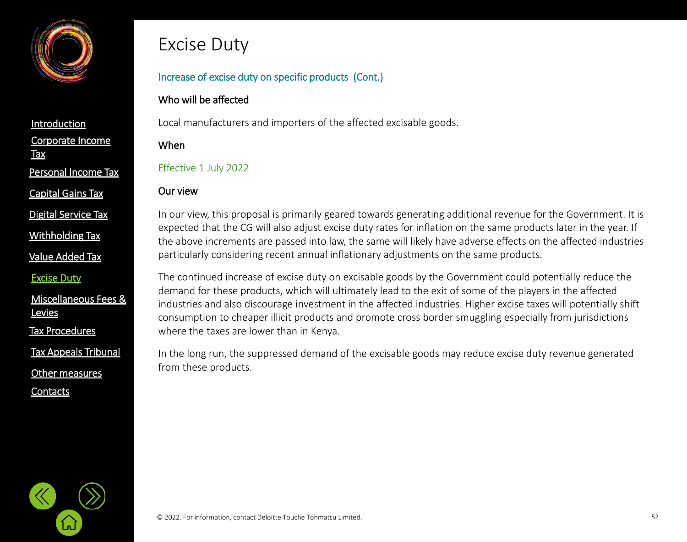

[Corporate Income](#page-2-0)  **Tax [Introduction](#page-1-0)** Personal [Income Tax](#page-21-0) [Capital Gains Tax](#page-21-0)

[Digital Service Tax](#page-21-0)

[Withholding](#page-21-0) Tax

[Value Added Tax](#page-33-0)

[Excise Duty](#page-45-0)

[Miscellaneous Fees &](#page-56-0)  **Levies** 

[Tax Procedures](#page-61-0)

```
Tax Appeals Tribunal
```
[Other measures](#page-72-0)

**[Contacts](#page-75-0)** 

## Excise Duty

## Increase of excise duty on specific products (Cont.)

## Who will be affected

Local manufacturers and importers of the affected excisable goods.

When

Effective 1 July 2022

## Our view

In our view, this proposal is primarily geared towards generating additional revenue for the Government. It is expected that the CG will also adjust excise duty rates for inflation on the same products later in the year. If the above increments are passed into law, the same will likely have adverse effects on the affected industries particularly considering recent annual inflationary adjustments on the same products.

The continued increase of excise duty on excisable goods by the Government could potentially reduce the demand for these products, which will ultimately lead to the exit of some of the players in the affected industries and also discourage investment in the affected industries. Higher excise taxes will potentially shift consumption to cheaper illicit products and promote cross border smuggling especially from jurisdictions where the taxes are lower than in Kenya.

In the long run, the suppressed demand of the excisable goods may reduce excise duty revenue generated from these products.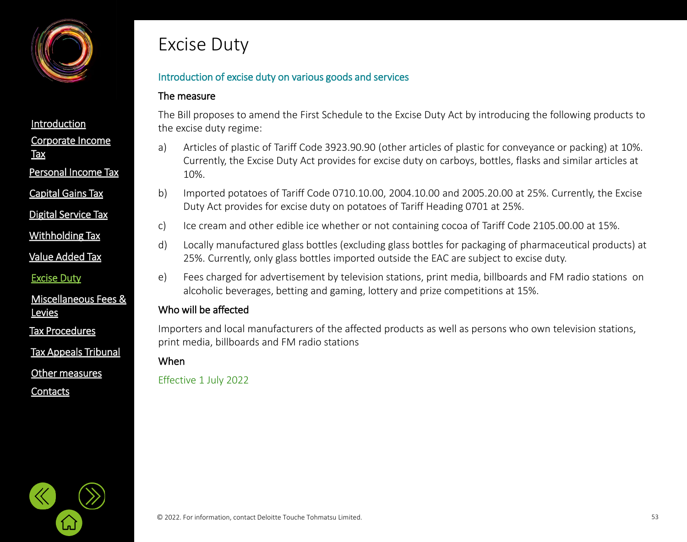

Personal [Income Tax](#page-21-0)

[Capital Gains Tax](#page-21-0)

[Digital Service Tax](#page-21-0)

[Withholding](#page-21-0) Tax

[Value Added Tax](#page-33-0)

[Excise Duty](#page-45-0)

[Miscellaneous Fees &](#page-56-0)  **Levies** 

[Tax Procedures](#page-61-0)

[Tax Appeals Tribunal](#page-61-0)

[Other measures](#page-72-0)

**[Contacts](#page-75-0)** 

## Excise Duty

## Introduction of excise duty on various goods and services

#### The measure

The Bill proposes to amend the First Schedule to the Excise Duty Act by introducing the following products to the excise duty regime:

- a) Articles of plastic of Tariff Code 3923.90.90 (other articles of plastic for conveyance or packing) at 10%. Currently, the Excise Duty Act provides for excise duty on carboys, bottles, flasks and similar articles at 10%.
- b) Imported potatoes of Tariff Code 0710.10.00, 2004.10.00 and 2005.20.00 at 25%. Currently, the Excise Duty Act provides for excise duty on potatoes of Tariff Heading 0701 at 25%.
- c) Ice cream and other edible ice whether or not containing cocoa of Tariff Code 2105.00.00 at 15%.
- d) Locally manufactured glass bottles (excluding glass bottles for packaging of pharmaceutical products) at 25%. Currently, only glass bottles imported outside the EAC are subject to excise duty.
- e) Fees charged for advertisement by television stations, print media, billboards and FM radio stations on alcoholic beverages, betting and gaming, lottery and prize competitions at 15%.

## Who will be affected

Importers and local manufacturers of the affected products as well as persons who own television stations, print media, billboards and FM radio stations

### When

Effective 1 July 2022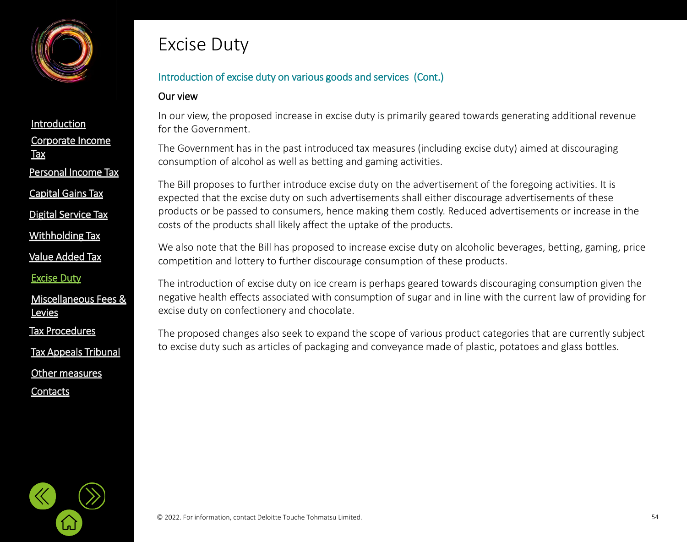

[Capital Gains Tax](#page-21-0)

[Digital Service Tax](#page-21-0)

[Withholding](#page-21-0) Tax

[Value Added Tax](#page-33-0)

[Excise Duty](#page-45-0)

[Miscellaneous Fees &](#page-56-0)  **Levies** 

[Tax Procedures](#page-61-0)

[Tax Appeals Tribunal](#page-61-0)

[Other measures](#page-72-0)

**[Contacts](#page-75-0)** 

# Excise Duty

## Introduction of excise duty on various goods and services (Cont.)

#### Our view

In our view, the proposed increase in excise duty is primarily geared towards generating additional revenue for the Government.

The Government has in the past introduced tax measures (including excise duty) aimed at discouraging consumption of alcohol as well as betting and gaming activities.

The Bill proposes to further introduce excise duty on the advertisement of the foregoing activities. It is expected that the excise duty on such advertisements shall either discourage advertisements of these products or be passed to consumers, hence making them costly. Reduced advertisements or increase in the costs of the products shall likely affect the uptake of the products.

We also note that the Bill has proposed to increase excise duty on alcoholic beverages, betting, gaming, price competition and lottery to further discourage consumption of these products.

The introduction of excise duty on ice cream is perhaps geared towards discouraging consumption given the negative health effects associated with consumption of sugar and in line with the current law of providing for excise duty on confectionery and chocolate.

The proposed changes also seek to expand the scope of various product categories that are currently subject to excise duty such as articles of packaging and conveyance made of plastic, potatoes and glass bottles.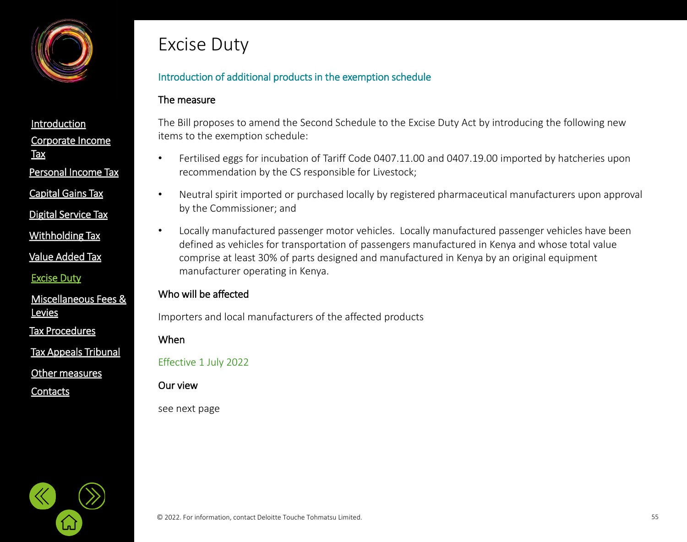

[Corporate Income](#page-2-0)  **Tax [Introduction](#page-1-0)** Personal [Income Tax](#page-21-0) [Capital Gains Tax](#page-21-0)

[Digital Service Tax](#page-21-0)

[Withholding](#page-21-0) Tax

[Value Added Tax](#page-33-0)

[Excise Duty](#page-45-0)

[Miscellaneous Fees &](#page-56-0)  **Levies** 

[Tax Procedures](#page-61-0)

[Tax Appeals Tribunal](#page-61-0)

[Other measures](#page-72-0)

**[Contacts](#page-75-0)** 

# Excise Duty

## Introduction of additional products in the exemption schedule

#### The measure

The Bill proposes to amend the Second Schedule to the Excise Duty Act by introducing the following new items to the exemption schedule:

- Fertilised eggs for incubation of Tariff Code 0407.11.00 and 0407.19.00 imported by hatcheries upon recommendation by the CS responsible for Livestock;
- Neutral spirit imported or purchased locally by registered pharmaceutical manufacturers upon approval by the Commissioner; and
- Locally manufactured passenger motor vehicles. Locally manufactured passenger vehicles have been defined as vehicles for transportation of passengers manufactured in Kenya and whose total value comprise at least 30% of parts designed and manufactured in Kenya by an original equipment manufacturer operating in Kenya.

## Who will be affected

Importers and local manufacturers of the affected products

When

Effective 1 July 2022

Our view

see next page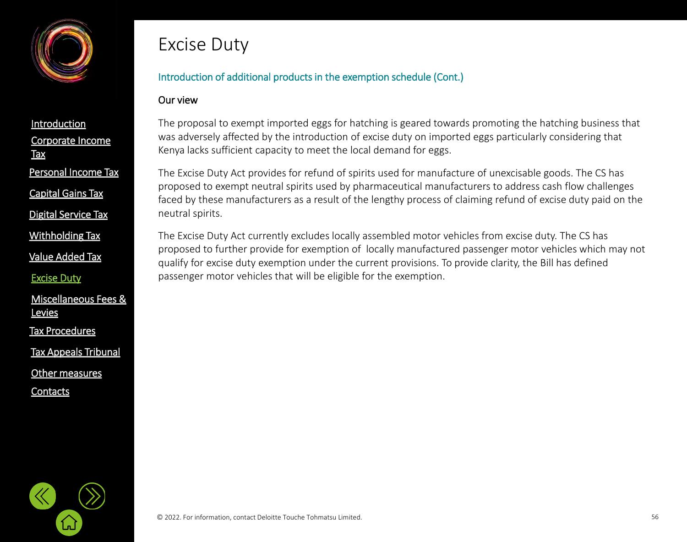

[Capital Gains Tax](#page-21-0)

[Digital Service Tax](#page-21-0)

[Withholding](#page-21-0) Tax

[Value Added Tax](#page-33-0)

[Excise Duty](#page-45-0)

[Miscellaneous Fees &](#page-56-0)  **Levies** 

[Tax Procedures](#page-61-0)

[Tax Appeals Tribunal](#page-61-0)

[Other measures](#page-72-0)

**[Contacts](#page-75-0)** 

# Excise Duty

## Introduction of additional products in the exemption schedule (Cont.)

#### Our view

The proposal to exempt imported eggs for hatching is geared towards promoting the hatching business that was adversely affected by the introduction of excise duty on imported eggs particularly considering that Kenya lacks sufficient capacity to meet the local demand for eggs.

The Excise Duty Act provides for refund of spirits used for manufacture of unexcisable goods. The CS has proposed to exempt neutral spirits used by pharmaceutical manufacturers to address cash flow challenges faced by these manufacturers as a result of the lengthy process of claiming refund of excise duty paid on the neutral spirits.

The Excise Duty Act currently excludes locally assembled motor vehicles from excise duty. The CS has proposed to further provide for exemption of locally manufactured passenger motor vehicles which may not qualify for excise duty exemption under the current provisions. To provide clarity, the Bill has defined passenger motor vehicles that will be eligible for the exemption.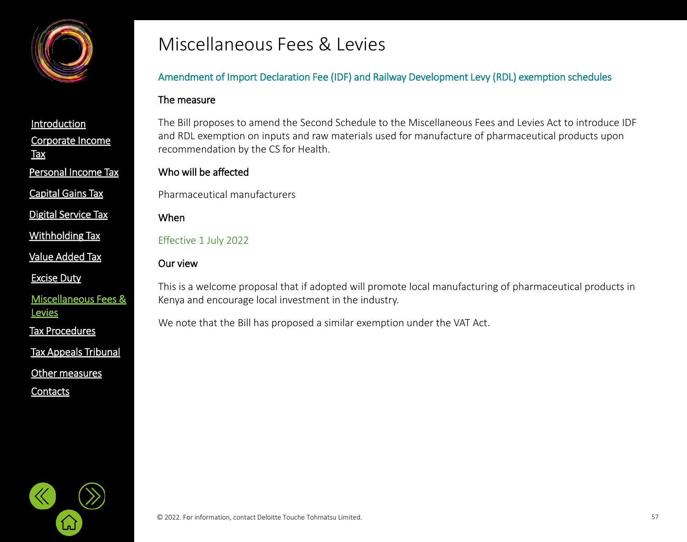<span id="page-56-0"></span>

[Capital Gains Tax](#page-21-0)

[Digital Service Tax](#page-21-0)

[Withholding](#page-21-0) Tax

[Value Added Tax](#page-33-0)

[Excise Duty](#page-45-0)

[Miscellaneous Fees &](#page-56-0)  **Levies** 

[Tax Procedures](#page-61-0)

[Tax Appeals Tribunal](#page-61-0)

[Other measures](#page-72-0)

**[Contacts](#page-75-0)** 

## Miscellaneous Fees & Levies

## Amendment of Import Declaration Fee (IDF) and Railway Development Levy (RDL) exemption schedules

#### The measure

The Bill proposes to amend the Second Schedule to the Miscellaneous Fees and Levies Act to introduce IDF and RDL exemption on inputs and raw materials used for manufacture of pharmaceutical products upon recommendation by the CS for Health.

### Who will be affected

Pharmaceutical manufacturers

When

Effective 1 July 2022

### Our view

This is a welcome proposal that if adopted will promote local manufacturing of pharmaceutical products in Kenya and encourage local investment in the industry.

We note that the Bill has proposed a similar exemption under the VAT Act.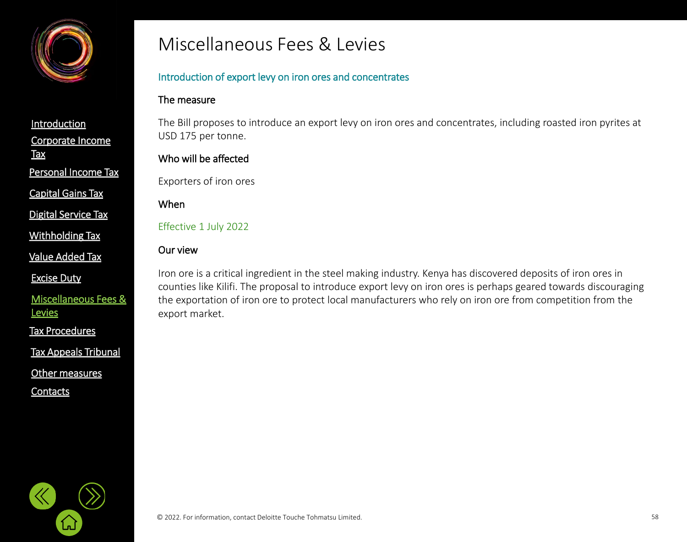

Personal [Income Tax](#page-21-0)

[Capital Gains Tax](#page-21-0)

[Digital Service Tax](#page-21-0)

[Withholding](#page-21-0) Tax

[Value Added Tax](#page-33-0)

[Excise Duty](#page-45-0)

[Miscellaneous Fees &](#page-56-0)  **Levies** 

[Tax Procedures](#page-61-0)

[Tax Appeals Tribunal](#page-61-0)

[Other measures](#page-72-0)

**[Contacts](#page-75-0)** 

## Miscellaneous Fees & Levies

### Introduction of export levy on iron ores and concentrates

#### The measure

The Bill proposes to introduce an export levy on iron ores and concentrates, including roasted iron pyrites at USD 175 per tonne.

### Who will be affected

Exporters of iron ores

#### When

Effective 1 July 2022

#### Our view

Iron ore is a critical ingredient in the steel making industry. Kenya has discovered deposits of iron ores in counties like Kilifi. The proposal to introduce export levy on iron ores is perhaps geared towards discouraging the exportation of iron ore to protect local manufacturers who rely on iron ore from competition from the export market.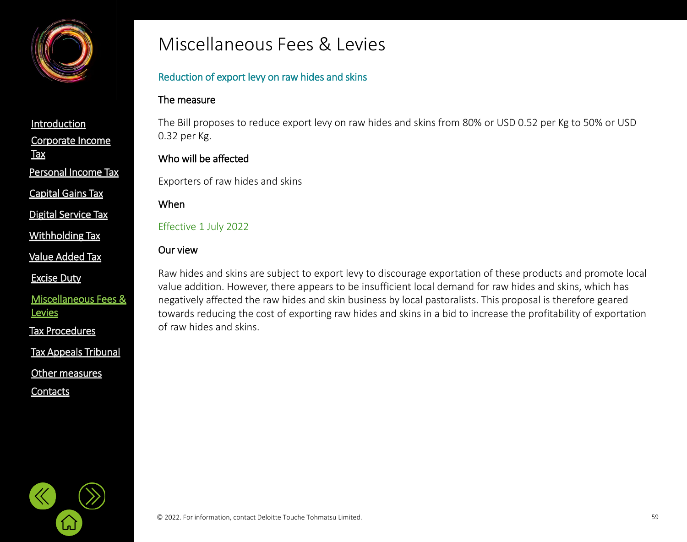

Personal [Income Tax](#page-21-0)

[Capital Gains Tax](#page-21-0)

[Digital Service Tax](#page-21-0)

[Withholding](#page-21-0) Tax

[Value Added Tax](#page-33-0)

[Excise Duty](#page-45-0)

[Miscellaneous Fees &](#page-56-0)  **Levies** 

[Tax Procedures](#page-61-0)

[Tax Appeals Tribunal](#page-61-0)

[Other measures](#page-72-0)

**[Contacts](#page-75-0)** 

## Miscellaneous Fees & Levies

## Reduction of export levy on raw hides and skins

### The measure

The Bill proposes to reduce export levy on raw hides and skins from 80% or USD 0.52 per Kg to 50% or USD 0.32 per Kg.

## Who will be affected

Exporters of raw hides and skins

#### When

Effective 1 July 2022

### Our view

Raw hides and skins are subject to export levy to discourage exportation of these products and promote local value addition. However, there appears to be insufficient local demand for raw hides and skins, which has negatively affected the raw hides and skin business by local pastoralists. This proposal is therefore geared towards reducing the cost of exporting raw hides and skins in a bid to increase the profitability of exportation of raw hides and skins.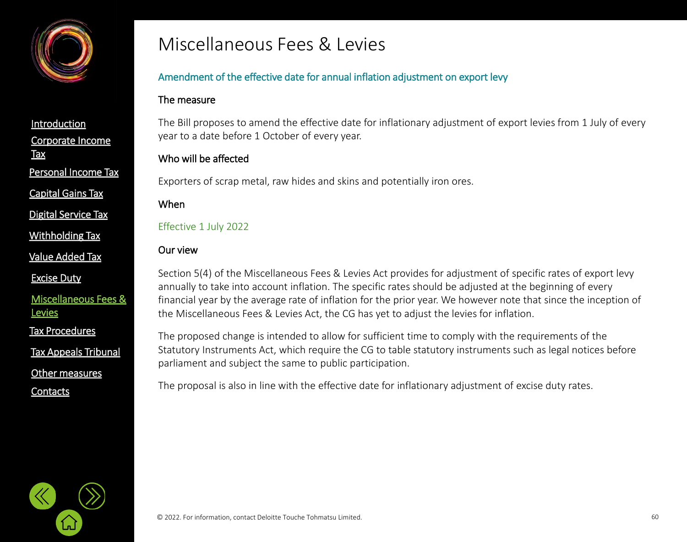

[Capital Gains Tax](#page-21-0)

[Digital Service Tax](#page-21-0)

[Withholding](#page-21-0) Tax

[Value Added Tax](#page-33-0)

[Excise Duty](#page-45-0)

[Miscellaneous Fees &](#page-56-0)  **Levies** 

[Tax Procedures](#page-61-0)

[Tax Appeals Tribunal](#page-61-0)

[Other measures](#page-72-0)

**[Contacts](#page-75-0)** 

## Miscellaneous Fees & Levies

## Amendment of the effective date for annual inflation adjustment on export levy

#### The measure

The Bill proposes to amend the effective date for inflationary adjustment of export levies from 1 July of every year to a date before 1 October of every year.

## Who will be affected

Exporters of scrap metal, raw hides and skins and potentially iron ores.

#### When

Effective 1 July 2022

### Our view

Section 5(4) of the Miscellaneous Fees & Levies Act provides for adjustment of specific rates of export levy annually to take into account inflation. The specific rates should be adjusted at the beginning of every financial year by the average rate of inflation for the prior year. We however note that since the inception of the Miscellaneous Fees & Levies Act, the CG has yet to adjust the levies for inflation.

The proposed change is intended to allow for sufficient time to comply with the requirements of the Statutory Instruments Act, which require the CG to table statutory instruments such as legal notices before parliament and subject the same to public participation.

The proposal is also in line with the effective date for inflationary adjustment of excise duty rates.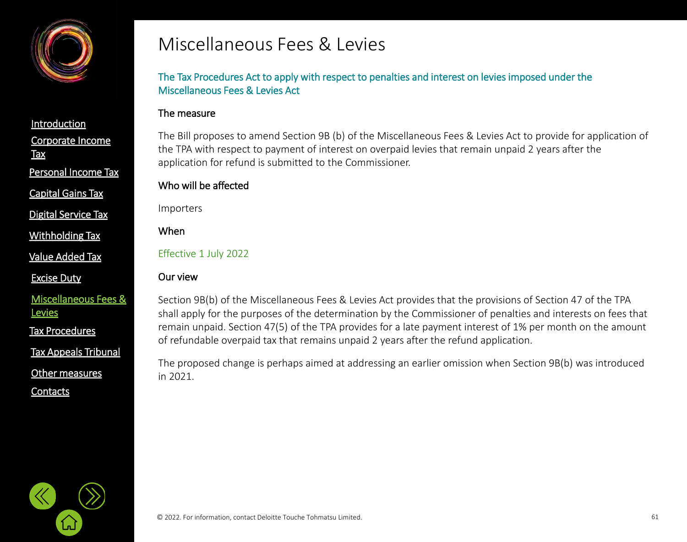

[Capital Gains Tax](#page-21-0)

[Digital Service Tax](#page-21-0)

[Withholding](#page-21-0) Tax

[Value Added Tax](#page-33-0)

[Excise Duty](#page-45-0)

[Miscellaneous Fees &](#page-56-0)  **Levies** 

[Tax Procedures](#page-61-0)

[Tax Appeals Tribunal](#page-61-0)

[Other measures](#page-72-0)

**[Contacts](#page-75-0)** 

## Miscellaneous Fees & Levies

The Tax Procedures Act to apply with respect to penalties and interest on levies imposed under the Miscellaneous Fees & Levies Act

#### The measure

The Bill proposes to amend Section 9B (b) of the Miscellaneous Fees & Levies Act to provide for application of the TPA with respect to payment of interest on overpaid levies that remain unpaid 2 years after the application for refund is submitted to the Commissioner.

#### Who will be affected

Importers

When

Effective 1 July 2022

#### Our view

Section 9B(b) of the Miscellaneous Fees & Levies Act provides that the provisions of Section 47 of the TPA shall apply for the purposes of the determination by the Commissioner of penalties and interests on fees that remain unpaid. Section 47(5) of the TPA provides for a late payment interest of 1% per month on the amount of refundable overpaid tax that remains unpaid 2 years after the refund application.

The proposed change is perhaps aimed at addressing an earlier omission when Section 9B(b) was introduced in 2021.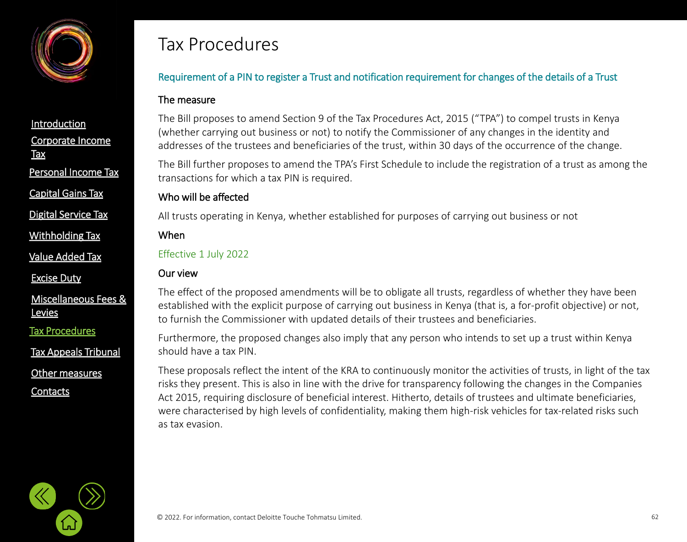<span id="page-61-0"></span>

Personal [Income Tax](#page-21-0)

[Capital Gains Tax](#page-21-0)

[Digital Service Tax](#page-21-0)

[Withholding](#page-21-0) Tax

[Value Added Tax](#page-33-0)

[Excise Duty](#page-45-0)

[Miscellaneous Fees &](#page-56-0)  **Levies** 

[Tax Procedures](#page-61-0)

[Tax Appeals Tribunal](#page-61-0)

[Other measures](#page-72-0)

**[Contacts](#page-75-0)** 

## Tax Procedures

## Requirement of a PIN to register a Trust and notification requirement for changes of the details of a Trust

#### The measure

The Bill proposes to amend Section 9 of the Tax Procedures Act, 2015 ("TPA") to compel trusts in Kenya (whether carrying out business or not) to notify the Commissioner of any changes in the identity and addresses of the trustees and beneficiaries of the trust, within 30 days of the occurrence of the change.

The Bill further proposes to amend the TPA's First Schedule to include the registration of a trust as among the transactions for which a tax PIN is required.

### Who will be affected

All trusts operating in Kenya, whether established for purposes of carrying out business or not

#### When

Effective 1 July 2022

### Our view

The effect of the proposed amendments will be to obligate all trusts, regardless of whether they have been established with the explicit purpose of carrying out business in Kenya (that is, a for-profit objective) or not, to furnish the Commissioner with updated details of their trustees and beneficiaries.

Furthermore, the proposed changes also imply that any person who intends to set up a trust within Kenya should have a tax PIN.

These proposals reflect the intent of the KRA to continuously monitor the activities of trusts, in light of the tax risks they present. This is also in line with the drive for transparency following the changes in the Companies Act 2015, requiring disclosure of beneficial interest. Hitherto, details of trustees and ultimate beneficiaries, were characterised by high levels of confidentiality, making them high-risk vehicles for tax-related risks such as tax evasion.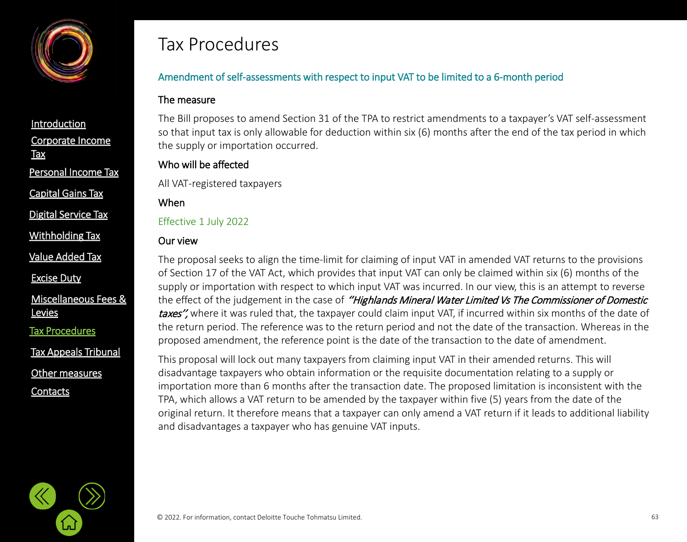

Personal [Income Tax](#page-21-0)

[Capital Gains Tax](#page-21-0)

[Digital Service Tax](#page-21-0)

[Withholding](#page-21-0) Tax

[Value Added Tax](#page-33-0)

[Excise Duty](#page-45-0)

[Miscellaneous Fees &](#page-56-0)  **Levies** 

[Tax Procedures](#page-61-0)

[Tax Appeals Tribunal](#page-61-0)

[Other measures](#page-72-0)

**[Contacts](#page-75-0)** 

## Tax Procedures

## Amendment of self-assessments with respect to input VAT to be limited to a 6-month period

#### The measure

The Bill proposes to amend Section 31 of the TPA to restrict amendments to a taxpayer's VAT self-assessment so that input tax is only allowable for deduction within six (6) months after the end of the tax period in which the supply or importation occurred.

## Who will be affected

All VAT-registered taxpayers

### When

Effective 1 July 2022

## Our view

The proposal seeks to align the time-limit for claiming of input VAT in amended VAT returns to the provisions of Section 17 of the VAT Act, which provides that input VAT can only be claimed within six (6) months of the supply or importation with respect to which input VAT was incurred. In our view, this is an attempt to reverse the effect of the judgement in the case of "Highlands Mineral Water Limited Vs The Commissioner of Domestic taxes", where it was ruled that, the taxpayer could claim input VAT, if incurred within six months of the date of the return period. The reference was to the return period and not the date of the transaction. Whereas in the proposed amendment, the reference point is the date of the transaction to the date of amendment.

This proposal will lock out many taxpayers from claiming input VAT in their amended returns. This will disadvantage taxpayers who obtain information or the requisite documentation relating to a supply or importation more than 6 months after the transaction date. The proposed limitation is inconsistent with the TPA, which allows a VAT return to be amended by the taxpayer within five (5) years from the date of the original return. It therefore means that a taxpayer can only amend a VAT return if it leads to additional liability and disadvantages a taxpayer who has genuine VAT inputs.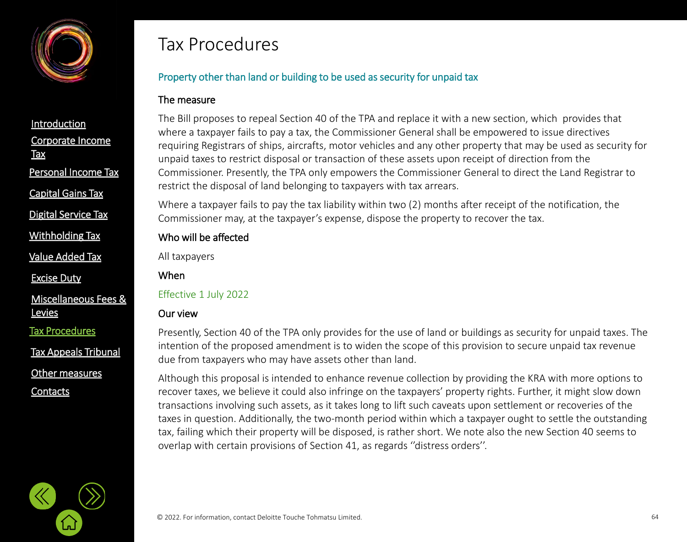

[Capital Gains Tax](#page-21-0)

[Digital Service Tax](#page-21-0)

[Withholding](#page-21-0) Tax

[Value Added Tax](#page-33-0)

[Excise Duty](#page-45-0)

[Miscellaneous Fees &](#page-56-0)  **Levies** 

[Tax Procedures](#page-61-0)

[Tax Appeals Tribunal](#page-61-0)

[Other measures](#page-72-0)

**[Contacts](#page-75-0)** 

## Tax Procedures

## Property other than land or building to be used as security for unpaid tax

#### The measure

The Bill proposes to repeal Section 40 of the TPA and replace it with a new section, which provides that where a taxpayer fails to pay a tax, the Commissioner General shall be empowered to issue directives requiring Registrars of ships, aircrafts, motor vehicles and any other property that may be used as security for unpaid taxes to restrict disposal or transaction of these assets upon receipt of direction from the Commissioner. Presently, the TPA only empowers the Commissioner General to direct the Land Registrar to restrict the disposal of land belonging to taxpayers with tax arrears.

Where a taxpayer fails to pay the tax liability within two (2) months after receipt of the notification, the Commissioner may, at the taxpayer's expense, dispose the property to recover the tax.

## Who will be affected

All taxpayers

When

### Effective 1 July 2022

## Our view

Presently, Section 40 of the TPA only provides for the use of land or buildings as security for unpaid taxes. The intention of the proposed amendment is to widen the scope of this provision to secure unpaid tax revenue due from taxpayers who may have assets other than land.

Although this proposal is intended to enhance revenue collection by providing the KRA with more options to recover taxes, we believe it could also infringe on the taxpayers' property rights. Further, it might slow down transactions involving such assets, as it takes long to lift such caveats upon settlement or recoveries of the taxes in question. Additionally, the two-month period within which a taxpayer ought to settle the outstanding tax, failing which their property will be disposed, is rather short. We note also the new Section 40 seems to overlap with certain provisions of Section 41, as regards ''distress orders''.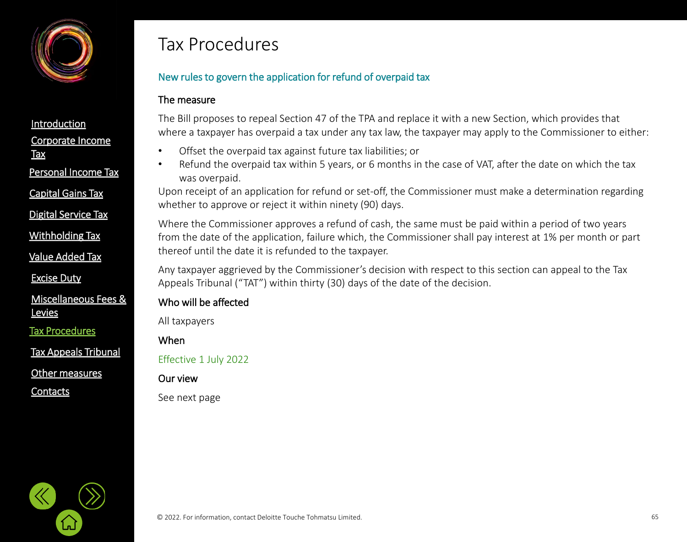

[Corporate Income](#page-2-0)  **Tax [Introduction](#page-1-0)** Personal [Income Tax](#page-21-0) [Digital Service Tax](#page-21-0) [Capital Gains Tax](#page-21-0)

[Withholding](#page-21-0) Tax

[Value Added Tax](#page-33-0)

[Excise Duty](#page-45-0)

[Miscellaneous Fees &](#page-56-0)  **Levies** 

[Tax Procedures](#page-61-0)

[Tax Appeals Tribunal](#page-61-0)

[Other measures](#page-72-0)

**[Contacts](#page-75-0)** 

## Tax Procedures

## New rules to govern the application for refund of overpaid tax

#### The measure

The Bill proposes to repeal Section 47 of the TPA and replace it with a new Section, which provides that where a taxpayer has overpaid a tax under any tax law, the taxpayer may apply to the Commissioner to either:

- Offset the overpaid tax against future tax liabilities; or
- Refund the overpaid tax within 5 years, or 6 months in the case of VAT, after the date on which the tax was overpaid.

Upon receipt of an application for refund or set-off, the Commissioner must make a determination regarding whether to approve or reject it within ninety (90) days.

Where the Commissioner approves a refund of cash, the same must be paid within a period of two years from the date of the application, failure which, the Commissioner shall pay interest at 1% per month or part thereof until the date it is refunded to the taxpayer.

Any taxpayer aggrieved by the Commissioner's decision with respect to this section can appeal to the Tax Appeals Tribunal ("TAT") within thirty (30) days of the date of the decision.

## Who will be affected

All taxpayers

When

Effective 1 July 2022

Our view

See next page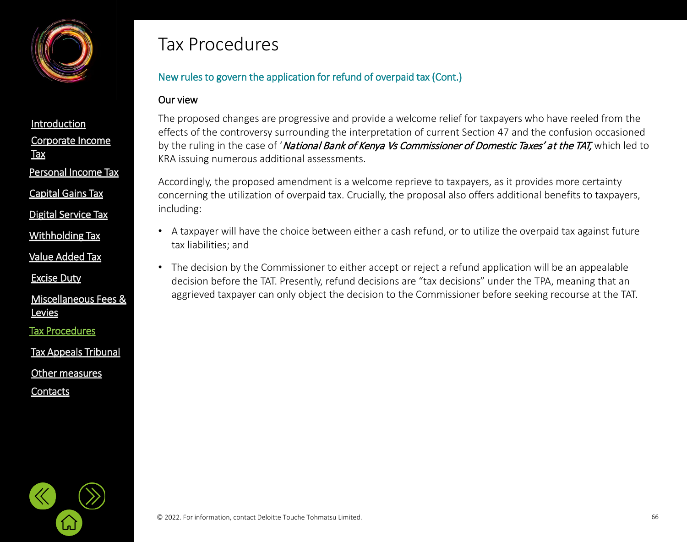

[Capital Gains Tax](#page-21-0)

[Digital Service Tax](#page-21-0)

[Withholding](#page-21-0) Tax

[Value Added Tax](#page-33-0)

[Excise Duty](#page-45-0)

[Miscellaneous Fees &](#page-56-0)  **Levies** 

[Tax Procedures](#page-61-0)

[Tax Appeals Tribunal](#page-61-0)

[Other measures](#page-72-0)

**[Contacts](#page-75-0)** 

## Tax Procedures

## New rules to govern the application for refund of overpaid tax (Cont.)

#### Our view

The proposed changes are progressive and provide a welcome relief for taxpayers who have reeled from the effects of the controversy surrounding the interpretation of current Section 47 and the confusion occasioned by the ruling in the case of 'National Bank of Kenya Vs Commissioner of Domestic Taxes' at the TAT, which led to KRA issuing numerous additional assessments.

Accordingly, the proposed amendment is a welcome reprieve to taxpayers, as it provides more certainty concerning the utilization of overpaid tax. Crucially, the proposal also offers additional benefits to taxpayers, including:

- A taxpayer will have the choice between either a cash refund, or to utilize the overpaid tax against future tax liabilities; and
- The decision by the Commissioner to either accept or reject a refund application will be an appealable decision before the TAT. Presently, refund decisions are "tax decisions" under the TPA, meaning that an aggrieved taxpayer can only object the decision to the Commissioner before seeking recourse at the TAT.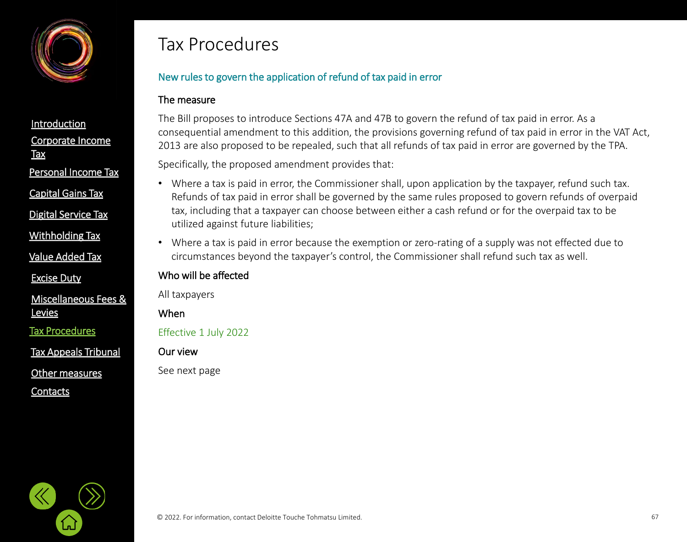

Personal [Income Tax](#page-21-0)

[Capital Gains Tax](#page-21-0)

[Digital Service Tax](#page-21-0)

[Withholding](#page-21-0) Tax

[Value Added Tax](#page-33-0)

[Excise Duty](#page-45-0)

[Miscellaneous Fees &](#page-56-0)  **Levies** 

[Tax Procedures](#page-61-0)

[Tax Appeals Tribunal](#page-61-0)

[Other measures](#page-72-0)

**[Contacts](#page-75-0)** 

## Tax Procedures

## New rules to govern the application of refund of tax paid in error

#### The measure

The Bill proposes to introduce Sections 47A and 47B to govern the refund of tax paid in error. As a consequential amendment to this addition, the provisions governing refund of tax paid in error in the VAT Act, 2013 are also proposed to be repealed, such that all refunds of tax paid in error are governed by the TPA.

Specifically, the proposed amendment provides that:

- Where a tax is paid in error, the Commissioner shall, upon application by the taxpayer, refund such tax. Refunds of tax paid in error shall be governed by the same rules proposed to govern refunds of overpaid tax, including that a taxpayer can choose between either a cash refund or for the overpaid tax to be utilized against future liabilities;
- Where a tax is paid in error because the exemption or zero-rating of a supply was not effected due to circumstances beyond the taxpayer's control, the Commissioner shall refund such tax as well.

#### Who will be affected

All taxpayers

When

Effective 1 July 2022

Our view

See next page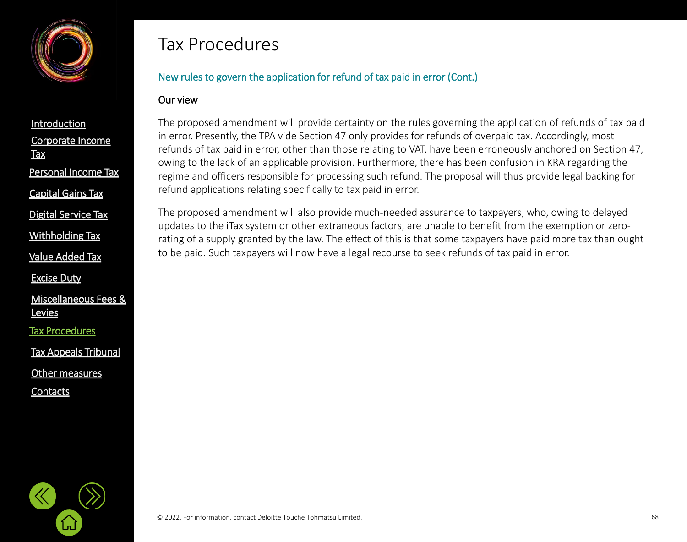

[Corporate Income](#page-2-0)  **Tax [Introduction](#page-1-0)** Personal [Income Tax](#page-21-0) [Capital Gains Tax](#page-21-0)

[Digital Service Tax](#page-21-0)

[Withholding](#page-21-0) Tax

[Value Added Tax](#page-33-0)

[Excise Duty](#page-45-0)

[Miscellaneous Fees &](#page-56-0)  **Levies** 

[Tax Procedures](#page-61-0)

[Tax Appeals Tribunal](#page-61-0)

[Other measures](#page-72-0)

**[Contacts](#page-75-0)** 

## Tax Procedures

## New rules to govern the application for refund of tax paid in error (Cont.)

#### Our view

The proposed amendment will provide certainty on the rules governing the application of refunds of tax paid in error. Presently, the TPA vide Section 47 only provides for refunds of overpaid tax. Accordingly, most refunds of tax paid in error, other than those relating to VAT, have been erroneously anchored on Section 47, owing to the lack of an applicable provision. Furthermore, there has been confusion in KRA regarding the regime and officers responsible for processing such refund. The proposal will thus provide legal backing for refund applications relating specifically to tax paid in error.

The proposed amendment will also provide much-needed assurance to taxpayers, who, owing to delayed updates to the iTax system or other extraneous factors, are unable to benefit from the exemption or zerorating of a supply granted by the law. The effect of this is that some taxpayers have paid more tax than ought to be paid. Such taxpayers will now have a legal recourse to seek refunds of tax paid in error.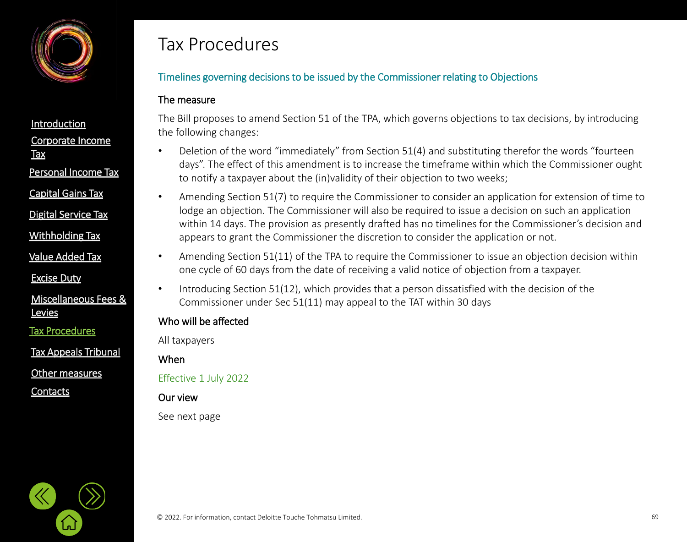

Personal [Income Tax](#page-21-0)

[Capital Gains Tax](#page-21-0)

[Digital Service Tax](#page-21-0)

[Withholding](#page-21-0) Tax

[Value Added Tax](#page-33-0)

[Excise Duty](#page-45-0)

[Miscellaneous Fees &](#page-56-0)  **Levies** 

[Tax Procedures](#page-61-0)

[Tax Appeals Tribunal](#page-61-0)

[Other measures](#page-72-0)

**[Contacts](#page-75-0)** 

## Tax Procedures

## Timelines governing decisions to be issued by the Commissioner relating to Objections

#### The measure

The Bill proposes to amend Section 51 of the TPA, which governs objections to tax decisions, by introducing the following changes:

- Deletion of the word "immediately" from Section 51(4) and substituting therefor the words "fourteen days". The effect of this amendment is to increase the timeframe within which the Commissioner ought to notify a taxpayer about the (in)validity of their objection to two weeks;
- Amending Section 51(7) to require the Commissioner to consider an application for extension of time to lodge an objection. The Commissioner will also be required to issue a decision on such an application within 14 days. The provision as presently drafted has no timelines for the Commissioner's decision and appears to grant the Commissioner the discretion to consider the application or not.
- Amending Section 51(11) of the TPA to require the Commissioner to issue an objection decision within one cycle of 60 days from the date of receiving a valid notice of objection from a taxpayer.
- Introducing Section 51(12), which provides that a person dissatisfied with the decision of the Commissioner under Sec 51(11) may appeal to the TAT within 30 days

### Who will be affected

All taxpayers

When

Effective 1 July 2022

Our view

See next page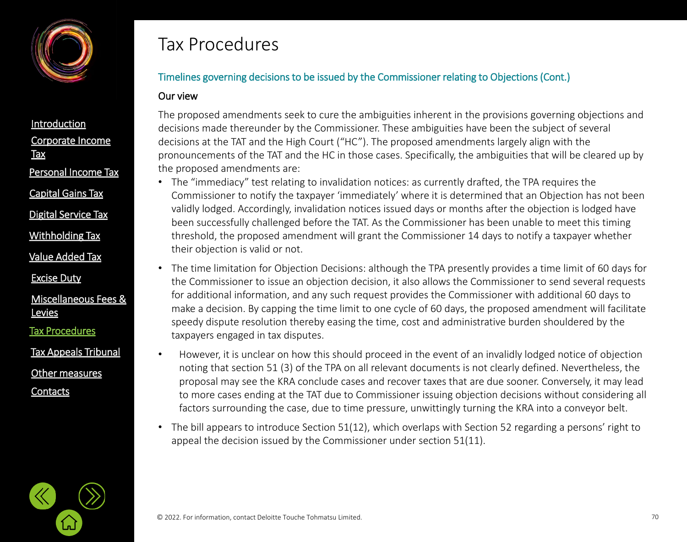

[Capital Gains Tax](#page-21-0)

[Digital Service Tax](#page-21-0)

[Withholding](#page-21-0) Tax

[Value Added Tax](#page-33-0)

[Excise Duty](#page-45-0)

[Miscellaneous Fees &](#page-56-0)  **Levies** 

[Tax Procedures](#page-61-0)

[Other measures](#page-72-0) [Tax Appeals Tribunal](#page-61-0)

**[Contacts](#page-75-0)** 

## Tax Procedures

## Timelines governing decisions to be issued by the Commissioner relating to Objections (Cont.)

#### Our view

The proposed amendments seek to cure the ambiguities inherent in the provisions governing objections and decisions made thereunder by the Commissioner. These ambiguities have been the subject of several decisions at the TAT and the High Court ("HC"). The proposed amendments largely align with the pronouncements of the TAT and the HC in those cases. Specifically, the ambiguities that will be cleared up by the proposed amendments are:

- The "immediacy" test relating to invalidation notices: as currently drafted, the TPA requires the Commissioner to notify the taxpayer 'immediately' where it is determined that an Objection has not been validly lodged. Accordingly, invalidation notices issued days or months after the objection is lodged have been successfully challenged before the TAT. As the Commissioner has been unable to meet this timing threshold, the proposed amendment will grant the Commissioner 14 days to notify a taxpayer whether their objection is valid or not.
- The time limitation for Objection Decisions: although the TPA presently provides a time limit of 60 days for the Commissioner to issue an objection decision, it also allows the Commissioner to send several requests for additional information, and any such request provides the Commissioner with additional 60 days to make a decision. By capping the time limit to one cycle of 60 days, the proposed amendment will facilitate speedy dispute resolution thereby easing the time, cost and administrative burden shouldered by the taxpayers engaged in tax disputes.
- However, it is unclear on how this should proceed in the event of an invalidly lodged notice of objection noting that section 51 (3) of the TPA on all relevant documents is not clearly defined. Nevertheless, the proposal may see the KRA conclude cases and recover taxes that are due sooner. Conversely, it may lead to more cases ending at the TAT due to Commissioner issuing objection decisions without considering all factors surrounding the case, due to time pressure, unwittingly turning the KRA into a conveyor belt.
- The bill appears to introduce Section 51(12), which overlaps with Section 52 regarding a persons' right to appeal the decision issued by the Commissioner under section 51(11).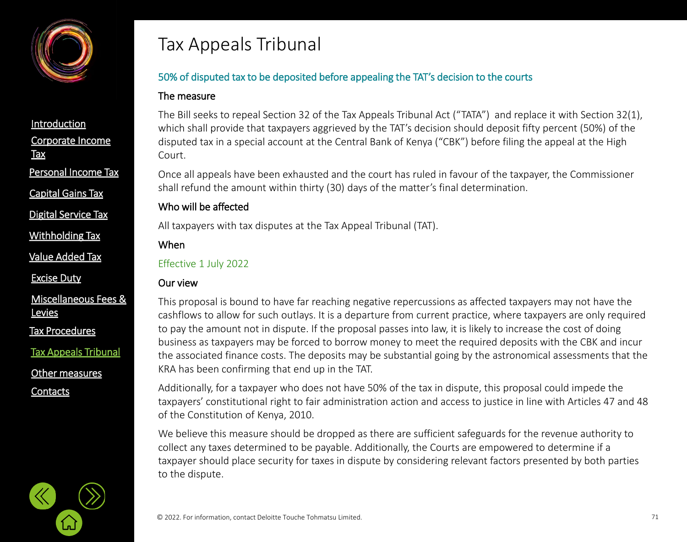<span id="page-70-0"></span>

[Capital Gains Tax](#page-21-0)

[Digital Service Tax](#page-21-0)

[Withholding](#page-21-0) Tax

[Value Added Tax](#page-33-0)

[Excise Duty](#page-45-0)

[Miscellaneous Fees &](#page-56-0)  **Levies** 

[Tax Procedures](#page-61-0)

[Tax Appeals Tribunal](#page-61-0)

[Other measures](#page-72-0)

**[Contacts](#page-75-0)** 

# Tax Appeals Tribunal

## 50% of disputed tax to be deposited before appealing the TAT's decision to the courts

### The measure

The Bill seeks to repeal Section 32 of the Tax Appeals Tribunal Act ("TATA") and replace it with Section 32(1), which shall provide that taxpayers aggrieved by the TAT's decision should deposit fifty percent (50%) of the disputed tax in a special account at the Central Bank of Kenya ("CBK") before filing the appeal at the High Court.

Once all appeals have been exhausted and the court has ruled in favour of the taxpayer, the Commissioner shall refund the amount within thirty (30) days of the matter's final determination.

## Who will be affected

All taxpayers with tax disputes at the Tax Appeal Tribunal (TAT).

### When

#### Effective 1 July 2022

## Our view

This proposal is bound to have far reaching negative repercussions as affected taxpayers may not have the cashflows to allow for such outlays. It is a departure from current practice, where taxpayers are only required to pay the amount not in dispute. If the proposal passes into law, it is likely to increase the cost of doing business as taxpayers may be forced to borrow money to meet the required deposits with the CBK and incur the associated finance costs. The deposits may be substantial going by the astronomical assessments that the KRA has been confirming that end up in the TAT.

Additionally, for a taxpayer who does not have 50% of the tax in dispute, this proposal could impede the taxpayers' constitutional right to fair administration action and access to justice in line with Articles 47 and 48 of the Constitution of Kenya, 2010.

We believe this measure should be dropped as there are sufficient safeguards for the revenue authority to collect any taxes determined to be payable. Additionally, the Courts are empowered to determine if a taxpayer should place security for taxes in dispute by considering relevant factors presented by both parties to the dispute.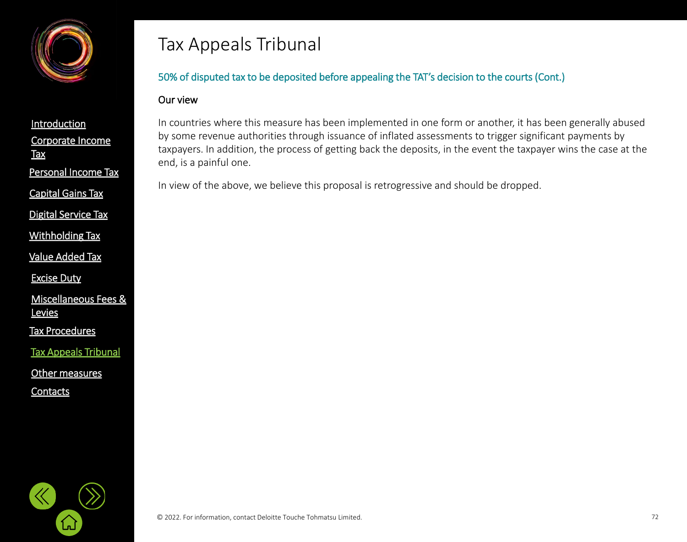

[Corporate Income](#page-2-0)  **Tax [Introduction](#page-1-0)** Personal [Income Tax](#page-21-0) [Capital Gains Tax](#page-21-0)

[Digital Service Tax](#page-21-0)

[Withholding](#page-21-0) Tax

[Value Added Tax](#page-33-0)

[Excise Duty](#page-45-0)

[Miscellaneous Fees &](#page-56-0)  **Levies** 

[Tax Procedures](#page-61-0)

[Tax Appeals Tribunal](#page-61-0)

[Other measures](#page-72-0)

**[Contacts](#page-75-0)** 

# Tax Appeals Tribunal

## 50% of disputed tax to be deposited before appealing the TAT's decision to the courts (Cont.)

#### Our view

In countries where this measure has been implemented in one form or another, it has been generally abused by some revenue authorities through issuance of inflated assessments to trigger significant payments by taxpayers. In addition, the process of getting back the deposits, in the event the taxpayer wins the case at the end, is a painful one.

In view of the above, we believe this proposal is retrogressive and should be dropped.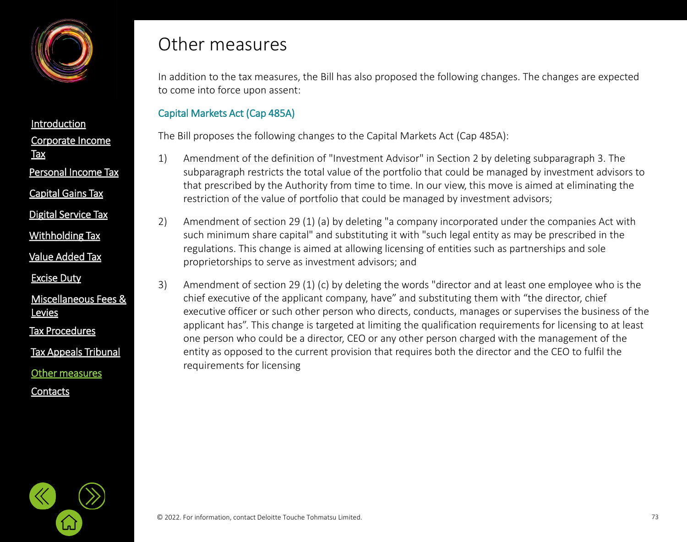<span id="page-72-0"></span>

[Corporate Income](#page-2-0)  **Tax [Introduction](#page-1-0)** Personal [Income Tax](#page-21-0) [Capital Gains Tax](#page-21-0)

[Digital Service Tax](#page-21-0)

[Withholding](#page-21-0) Tax

[Value Added Tax](#page-33-0)

[Excise Duty](#page-45-0)

[Miscellaneous Fees &](#page-56-0)  **Levies** 

[Tax Procedures](#page-61-0)

[Tax Appeals Tribunal](#page-61-0)

[Other measures](#page-72-0)

**[Contacts](#page-75-0)** 

## Other measures

In addition to the tax measures, the Bill has also proposed the following changes. The changes are expected to come into force upon assent:

### Capital Markets Act (Cap 485A)

The Bill proposes the following changes to the Capital Markets Act (Cap 485A):

- 1) Amendment of the definition of "Investment Advisor" in Section 2 by deleting subparagraph 3. The subparagraph restricts the total value of the portfolio that could be managed by investment advisors to that prescribed by the Authority from time to time. In our view, this move is aimed at eliminating the restriction of the value of portfolio that could be managed by investment advisors;
- 2) Amendment of section 29 (1) (a) by deleting "a company incorporated under the companies Act with such minimum share capital" and substituting it with "such legal entity as may be prescribed in the regulations. This change is aimed at allowing licensing of entities such as partnerships and sole proprietorships to serve as investment advisors; and
- 3) Amendment of section 29 (1) (c) by deleting the words "director and at least one employee who is the chief executive of the applicant company, have" and substituting them with "the director, chief executive officer or such other person who directs, conducts, manages or supervises the business of the applicant has". This change is targeted at limiting the qualification requirements for licensing to at least one person who could be a director, CEO or any other person charged with the management of the entity as opposed to the current provision that requires both the director and the CEO to fulfil the requirements for licensing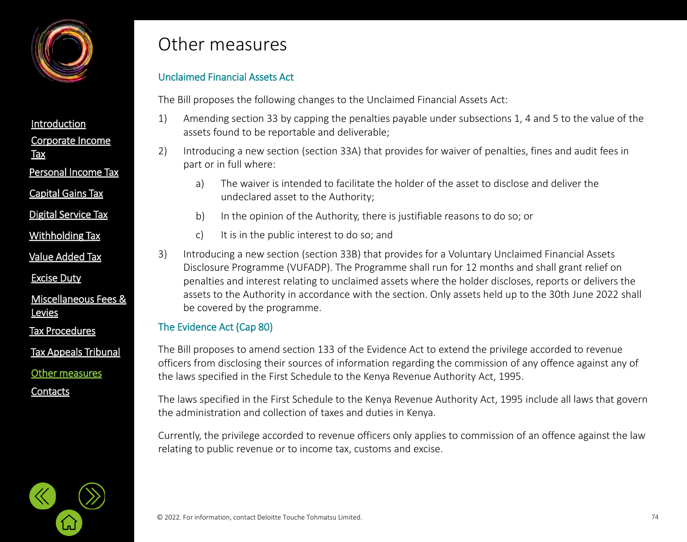

[Corporate Income](#page-2-0)  **Tax [Introduction](#page-1-0)** Personal [Income Tax](#page-21-0)

[Capital Gains Tax](#page-21-0)

[Digital Service Tax](#page-21-0)

[Withholding](#page-21-0) Tax

[Value Added Tax](#page-33-0)

[Excise Duty](#page-45-0)

[Miscellaneous Fees &](#page-56-0)  **Levies** 

[Tax Procedures](#page-61-0)

[Tax Appeals Tribunal](#page-61-0)

[Other measures](#page-72-0)

**[Contacts](#page-75-0)** 

## Other measures

### Unclaimed Financial Assets Act

The Bill proposes the following changes to the Unclaimed Financial Assets Act:

- 1) Amending section 33 by capping the penalties payable under subsections 1, 4 and 5 to the value of the assets found to be reportable and deliverable;
- 2) Introducing a new section (section 33A) that provides for waiver of penalties, fines and audit fees in part or in full where:
	- a) The waiver is intended to facilitate the holder of the asset to disclose and deliver the undeclared asset to the Authority;
	- b) In the opinion of the Authority, there is justifiable reasons to do so; or
	- c) It is in the public interest to do so; and
- 3) Introducing a new section (section 33B) that provides for a Voluntary Unclaimed Financial Assets Disclosure Programme (VUFADP). The Programme shall run for 12 months and shall grant relief on penalties and interest relating to unclaimed assets where the holder discloses, reports or delivers the assets to the Authority in accordance with the section. Only assets held up to the 30th June 2022 shall be covered by the programme.

### The Evidence Act (Cap 80)

The Bill proposes to amend section 133 of the Evidence Act to extend the privilege accorded to revenue officers from disclosing their sources of information regarding the commission of any offence against any of the laws specified in the First Schedule to the Kenya Revenue Authority Act, 1995.

The laws specified in the First Schedule to the Kenya Revenue Authority Act, 1995 include all laws that govern the administration and collection of taxes and duties in Kenya.

Currently, the privilege accorded to revenue officers only applies to commission of an offence against the law relating to public revenue or to income tax, customs and excise.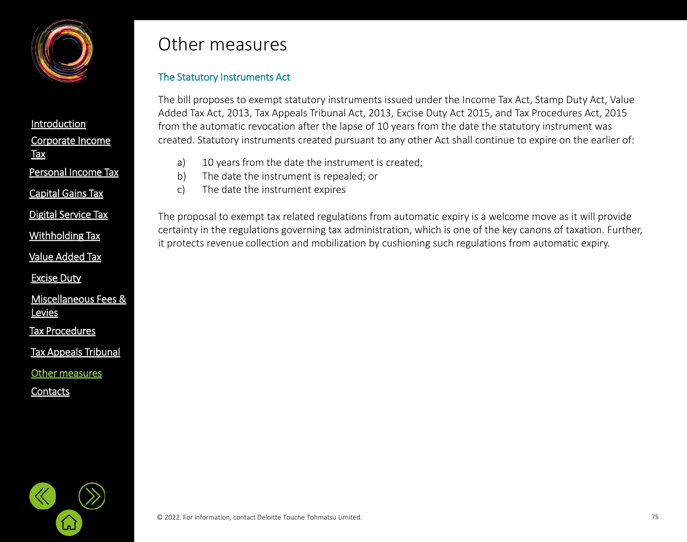

[Corporate Income](#page-2-0)  **Tax [Introduction](#page-1-0)** Personal [Income Tax](#page-21-0) [Capital Gains Tax](#page-21-0)

[Digital Service Tax](#page-21-0)

[Value Added Tax](#page-33-0)

[Excise Duty](#page-45-0)

[Miscellaneous Fees &](#page-56-0)  **Levies** 

[Tax Procedures](#page-61-0)

[Tax Appeals Tribunal](#page-61-0)

[Other measures](#page-72-0)

**[Contacts](#page-75-0)** 

# Other measures

## The Statutory Instruments Act

The bill proposes to exempt statutory instruments issued under the Income Tax Act, Stamp Duty Act, Value Added Tax Act, 2013, Tax Appeals Tribunal Act, 2013, Excise Duty Act 2015, and Tax Procedures Act, 2015 from the automatic revocation after the lapse of 10 years from the date the statutory instrument was created. Statutory instruments created pursuant to any other Act shall continue to expire on the earlier of:

- a) 10 years from the date the instrument is created;
- b) The date the instrument is repealed; or
- c) The date the instrument expires

The proposal to exempt tax related regulations from automatic expiry is a welcome move as it will provide certainty in the regulations governing tax administration, which is one of the key canons of taxation. Further, Ith <u>Mithholding Tax</u><br>it protects revenue collection and mobilization by cushioning such regulations from automatic expiry.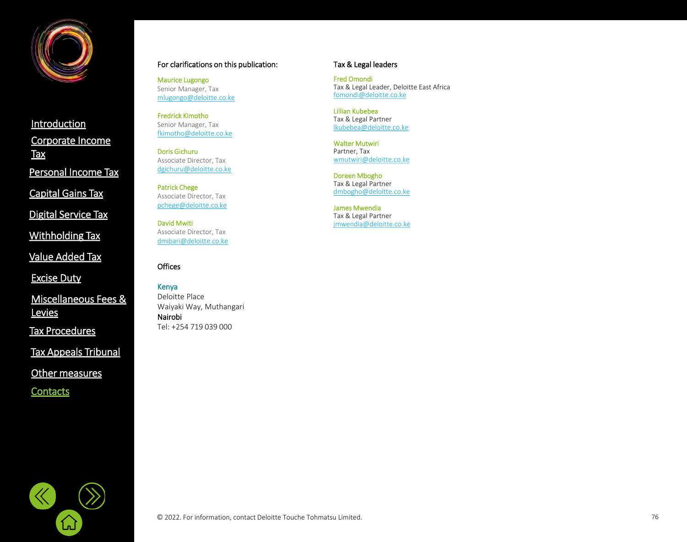<span id="page-75-0"></span>

[Corporate Income](#page-2-0)  **Tax [Introduction](#page-1-0)** Personal [Income Tax](#page-21-0) [Digital Service Tax](#page-21-0) [Capital Gains Tax](#page-21-0)

[Withholding](#page-21-0) Tax

[Value Added Tax](#page-33-0)

[Excise Duty](#page-45-0)

[Miscellaneous Fees &](#page-56-0)  **Levies** 

[Tax Procedures](#page-61-0)

[Tax Appeals Tribunal](#page-61-0)

[Other measures](#page-72-0)

⑴

**[Contacts](#page-75-0)** 

#### For clarifications on this publication:

Maurice Lugongo Senior Manager, Tax [mlugongo@deloitte.co.ke](mailto:mlugongo@deloitte.co.ke)

Fredrick Kimotho Senior Manager, Tax [fkimotho@deloitte.co.ke](mailto:fkimotho@deloitte.co.ke)

Doris Gichuru Associate Director, Tax [dgichuru@deloitte.co.ke](mailto:dgichuru@deloitte.co.ke)

Patrick Chege Associate Director, Tax [pchege@deloitte.co.ke](mailto:pchege@deloitte.co.ke)

David Mwiti Associate Director, Tax [dmibari@deloitte.co.ke](mailto:dmibari@deloitte.co.ke)

#### **Offices**

Kenya Deloitte Place Waiyaki Way, Muthangari Nairobi Tel: +254 719 039 000

#### Tax & Legal leaders

Fred Omondi Tax & Legal Leader, Deloitte East Africa [fomondi@deloitte.co.ke](mailto:fomondi@deloitte.co.ke)

Lillian Kubebea Tax & Legal Partner [lkubebea@deloitte.co.ke](mailto:lkubebea@deloitte.co.ke)

Walter Mutwiri Partner, Tax [wmutwiri@deloitte.co.ke](mailto:wmutwiri@deloitte.co.ke)

Doreen Mbogho Tax & Legal Partner [dmbogho@deloitte.co.ke](mailto:dmbogho@deloitte.co.ke)

James Mwendia Tax & Legal Partner [jmwendia@deloitte.co.ke](mailto:jmwendia@deloitte.co.ke)